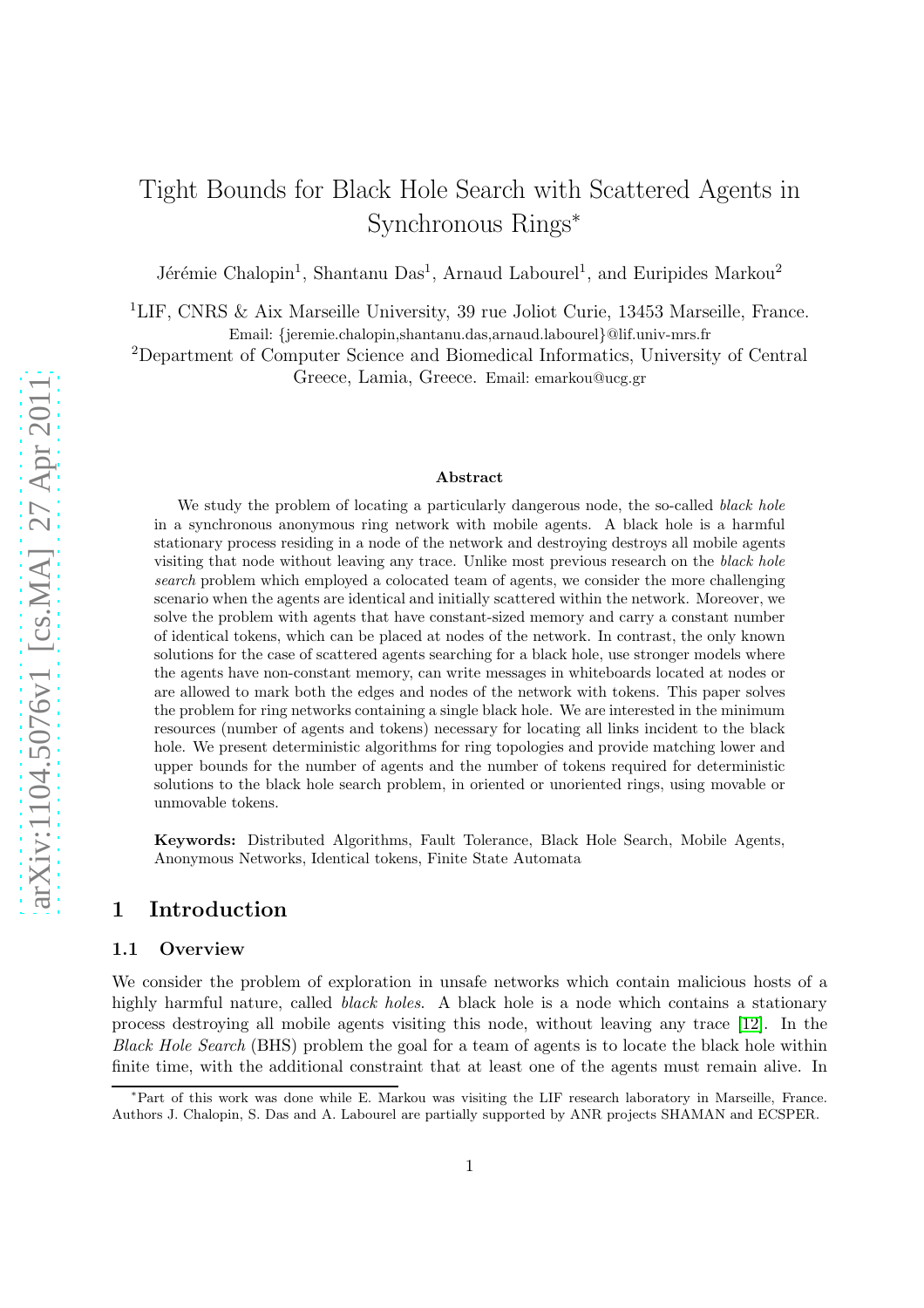# Tight Bounds for Black Hole Search with Scattered Agents in Synchronous Rings<sup>∗</sup>

Jérémie Chalopin<sup>1</sup>, Shantanu Das<sup>1</sup>, Arnaud Labourel<sup>1</sup>, and Euripides Markou<sup>2</sup>

<sup>1</sup>LIF, CNRS & Aix Marseille University, 39 rue Joliot Curie, 13453 Marseille, France. Email: {jeremie.chalopin,shantanu.das,arnaud.labourel}@lif.univ-mrs.fr

<sup>2</sup>Department of Computer Science and Biomedical Informatics, University of Central Greece, Lamia, Greece. Email: emarkou@ucg.gr

#### Abstract

We study the problem of locating a particularly dangerous node, the so-called black hole in a synchronous anonymous ring network with mobile agents. A black hole is a harmful stationary process residing in a node of the network and destroying destroys all mobile agents visiting that node without leaving any trace. Unlike most previous research on the black hole search problem which employed a colocated team of agents, we consider the more challenging scenario when the agents are identical and initially scattered within the network. Moreover, we solve the problem with agents that have constant-sized memory and carry a constant number of identical tokens, which can be placed at nodes of the network. In contrast, the only known solutions for the case of scattered agents searching for a black hole, use stronger models where the agents have non-constant memory, can write messages in whiteboards located at nodes or are allowed to mark both the edges and nodes of the network with tokens. This paper solves the problem for ring networks containing a single black hole. We are interested in the minimum resources (number of agents and tokens) necessary for locating all links incident to the black hole. We present deterministic algorithms for ring topologies and provide matching lower and upper bounds for the number of agents and the number of tokens required for deterministic solutions to the black hole search problem, in oriented or unoriented rings, using movable or unmovable tokens.

Keywords: Distributed Algorithms, Fault Tolerance, Black Hole Search, Mobile Agents, Anonymous Networks, Identical tokens, Finite State Automata

## 1 Introduction

#### 1.1 Overview

We consider the problem of exploration in unsafe networks which contain malicious hosts of a highly harmful nature, called *black holes*. A black hole is a node which contains a stationary process destroying all mobile agents visiting this node, without leaving any trace [\[12\]](#page-16-0). In the Black Hole Search (BHS) problem the goal for a team of agents is to locate the black hole within finite time, with the additional constraint that at least one of the agents must remain alive. In

<sup>∗</sup>Part of this work was done while E. Markou was visiting the LIF research laboratory in Marseille, France. Authors J. Chalopin, S. Das and A. Labourel are partially supported by ANR projects SHAMAN and ECSPER.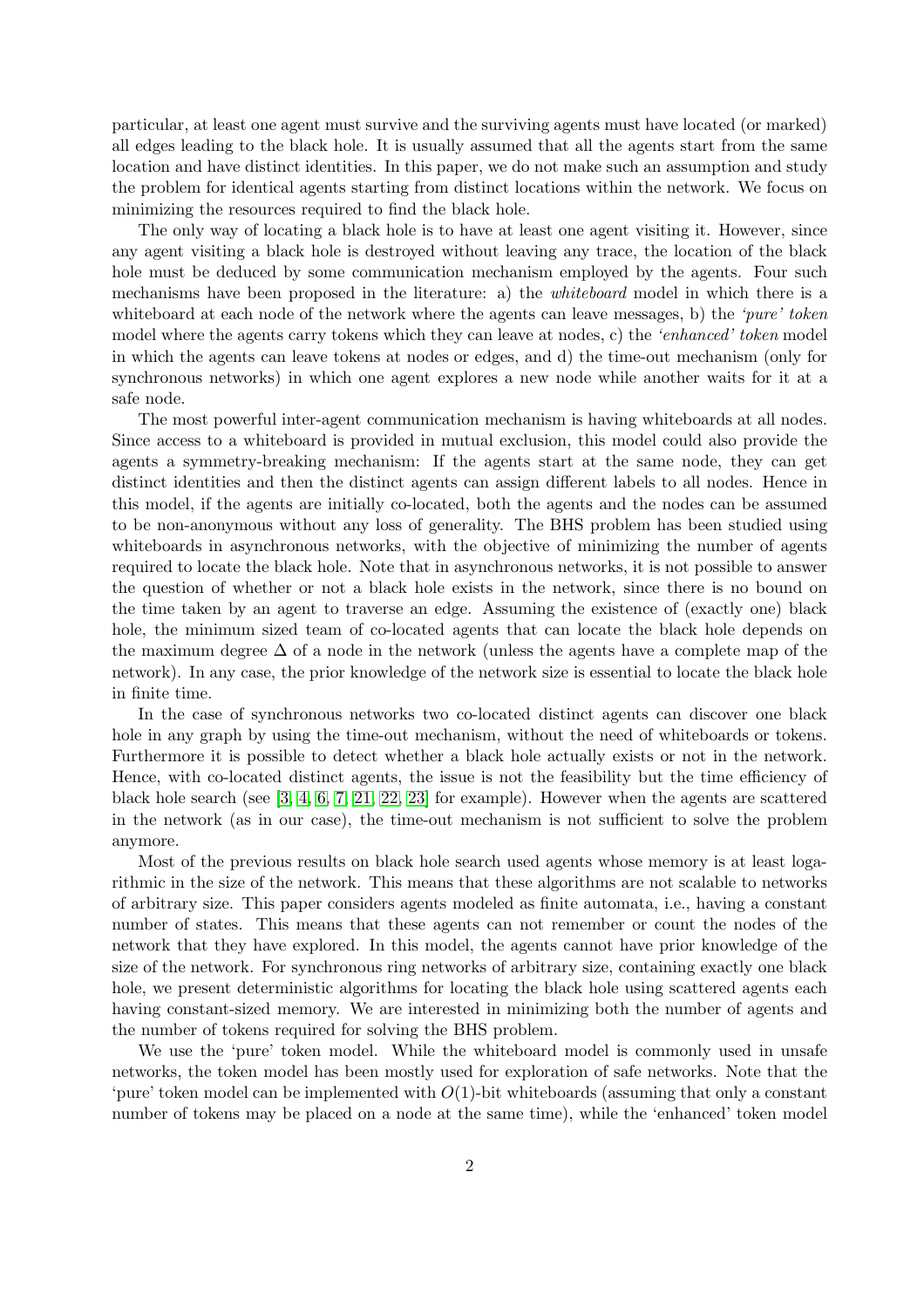particular, at least one agent must survive and the surviving agents must have located (or marked) all edges leading to the black hole. It is usually assumed that all the agents start from the same location and have distinct identities. In this paper, we do not make such an assumption and study the problem for identical agents starting from distinct locations within the network. We focus on minimizing the resources required to find the black hole.

The only way of locating a black hole is to have at least one agent visiting it. However, since any agent visiting a black hole is destroyed without leaving any trace, the location of the black hole must be deduced by some communication mechanism employed by the agents. Four such mechanisms have been proposed in the literature: a) the whiteboard model in which there is a whiteboard at each node of the network where the agents can leave messages, b) the 'pure' token model where the agents carry tokens which they can leave at nodes, c) the 'enhanced' token model in which the agents can leave tokens at nodes or edges, and d) the time-out mechanism (only for synchronous networks) in which one agent explores a new node while another waits for it at a safe node.

The most powerful inter-agent communication mechanism is having whiteboards at all nodes. Since access to a whiteboard is provided in mutual exclusion, this model could also provide the agents a symmetry-breaking mechanism: If the agents start at the same node, they can get distinct identities and then the distinct agents can assign different labels to all nodes. Hence in this model, if the agents are initially co-located, both the agents and the nodes can be assumed to be non-anonymous without any loss of generality. The BHS problem has been studied using whiteboards in asynchronous networks, with the objective of minimizing the number of agents required to locate the black hole. Note that in asynchronous networks, it is not possible to answer the question of whether or not a black hole exists in the network, since there is no bound on the time taken by an agent to traverse an edge. Assuming the existence of (exactly one) black hole, the minimum sized team of co-located agents that can locate the black hole depends on the maximum degree  $\Delta$  of a node in the network (unless the agents have a complete map of the network). In any case, the prior knowledge of the network size is essential to locate the black hole in finite time.

In the case of synchronous networks two co-located distinct agents can discover one black hole in any graph by using the time-out mechanism, without the need of whiteboards or tokens. Furthermore it is possible to detect whether a black hole actually exists or not in the network. Hence, with co-located distinct agents, the issue is not the feasibility but the time efficiency of black hole search (see [\[3,](#page-16-1) [4,](#page-16-2) [6,](#page-16-3) [7,](#page-16-4) [21,](#page-17-0) [22,](#page-17-1) [23\]](#page-17-2) for example). However when the agents are scattered in the network (as in our case), the time-out mechanism is not sufficient to solve the problem anymore.

Most of the previous results on black hole search used agents whose memory is at least logarithmic in the size of the network. This means that these algorithms are not scalable to networks of arbitrary size. This paper considers agents modeled as finite automata, i.e., having a constant number of states. This means that these agents can not remember or count the nodes of the network that they have explored. In this model, the agents cannot have prior knowledge of the size of the network. For synchronous ring networks of arbitrary size, containing exactly one black hole, we present deterministic algorithms for locating the black hole using scattered agents each having constant-sized memory. We are interested in minimizing both the number of agents and the number of tokens required for solving the BHS problem.

We use the 'pure' token model. While the whiteboard model is commonly used in unsafe networks, the token model has been mostly used for exploration of safe networks. Note that the 'pure' token model can be implemented with  $O(1)$ -bit whiteboards (assuming that only a constant number of tokens may be placed on a node at the same time), while the 'enhanced' token model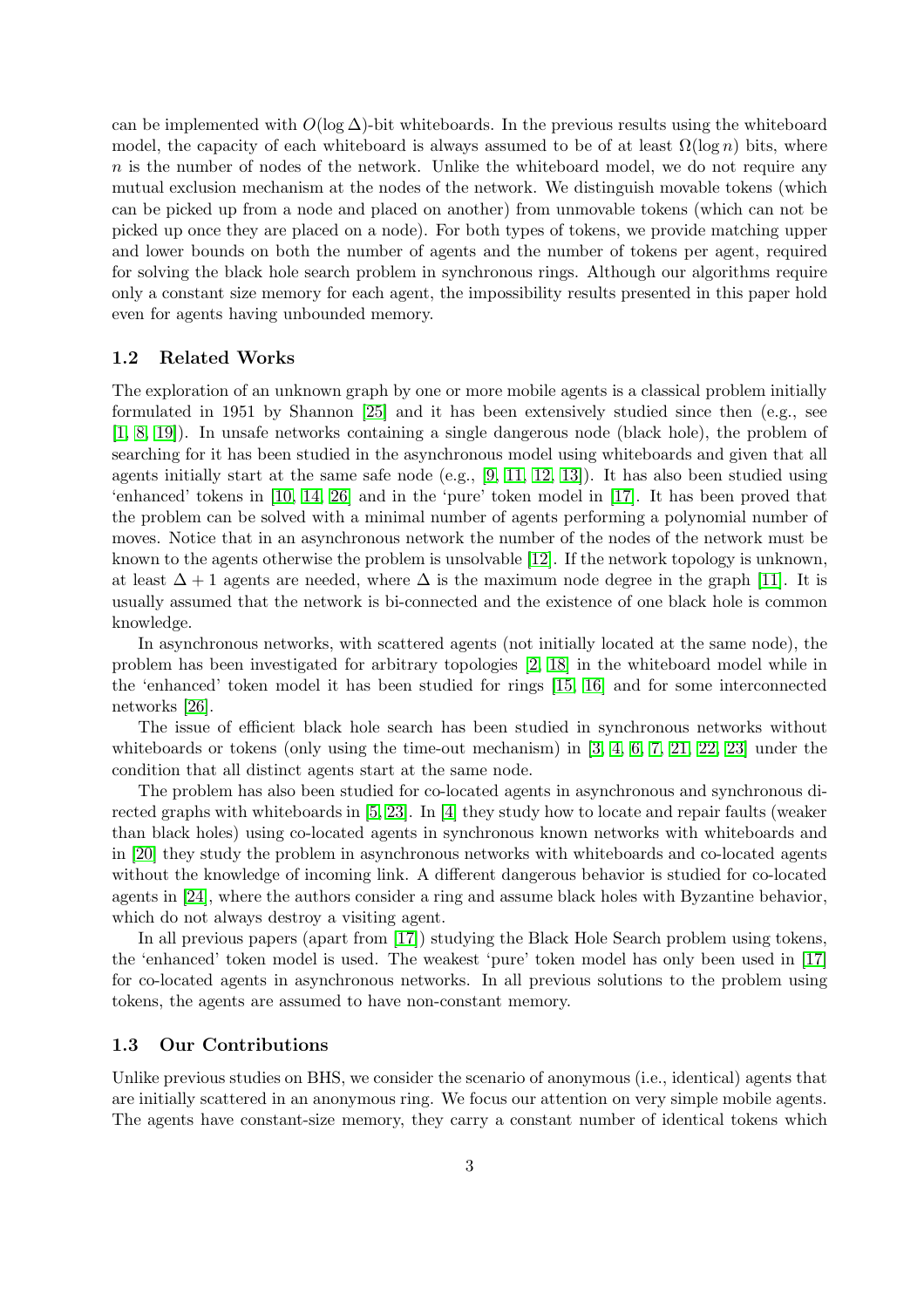can be implemented with  $O(\log \Delta)$ -bit whiteboards. In the previous results using the whiteboard model, the capacity of each whiteboard is always assumed to be of at least  $\Omega(\log n)$  bits, where  $n$  is the number of nodes of the network. Unlike the whiteboard model, we do not require any mutual exclusion mechanism at the nodes of the network. We distinguish movable tokens (which can be picked up from a node and placed on another) from unmovable tokens (which can not be picked up once they are placed on a node). For both types of tokens, we provide matching upper and lower bounds on both the number of agents and the number of tokens per agent, required for solving the black hole search problem in synchronous rings. Although our algorithms require only a constant size memory for each agent, the impossibility results presented in this paper hold even for agents having unbounded memory.

#### 1.2 Related Works

The exploration of an unknown graph by one or more mobile agents is a classical problem initially formulated in 1951 by Shannon [\[25\]](#page-17-3) and it has been extensively studied since then (e.g., see [\[1,](#page-16-5) [8,](#page-16-6) [19\]](#page-17-4)). In unsafe networks containing a single dangerous node (black hole), the problem of searching for it has been studied in the asynchronous model using whiteboards and given that all agents initially start at the same safe node (e.g.,  $[9, 11, 12, 13]$  $[9, 11, 12, 13]$  $[9, 11, 12, 13]$  $[9, 11, 12, 13]$ ). It has also been studied using 'enhanced' tokens in [\[10,](#page-16-9) [14,](#page-17-6) [26\]](#page-17-7) and in the 'pure' token model in [\[17\]](#page-17-8). It has been proved that the problem can be solved with a minimal number of agents performing a polynomial number of moves. Notice that in an asynchronous network the number of the nodes of the network must be known to the agents otherwise the problem is unsolvable [\[12\]](#page-16-0). If the network topology is unknown, at least  $\Delta + 1$  agents are needed, where  $\Delta$  is the maximum node degree in the graph [\[11\]](#page-16-8). It is usually assumed that the network is bi-connected and the existence of one black hole is common knowledge.

In asynchronous networks, with scattered agents (not initially located at the same node), the problem has been investigated for arbitrary topologies [\[2,](#page-16-10) [18\]](#page-17-9) in the whiteboard model while in the 'enhanced' token model it has been studied for rings [\[15,](#page-17-10) [16\]](#page-17-11) and for some interconnected networks [\[26\]](#page-17-7).

The issue of efficient black hole search has been studied in synchronous networks without whiteboards or tokens (only using the time-out mechanism) in [\[3,](#page-16-1) [4,](#page-16-2) [6,](#page-16-3) [7,](#page-16-4) [21,](#page-17-0) [22,](#page-17-1) [23\]](#page-17-2) under the condition that all distinct agents start at the same node.

The problem has also been studied for co-located agents in asynchronous and synchronous directed graphs with whiteboards in [\[5,](#page-16-11) [23\]](#page-17-2). In [\[4\]](#page-16-2) they study how to locate and repair faults (weaker than black holes) using co-located agents in synchronous known networks with whiteboards and in [\[20\]](#page-17-12) they study the problem in asynchronous networks with whiteboards and co-located agents without the knowledge of incoming link. A different dangerous behavior is studied for co-located agents in [\[24\]](#page-17-13), where the authors consider a ring and assume black holes with Byzantine behavior, which do not always destroy a visiting agent.

In all previous papers (apart from [\[17\]](#page-17-8)) studying the Black Hole Search problem using tokens, the 'enhanced' token model is used. The weakest 'pure' token model has only been used in [\[17\]](#page-17-8) for co-located agents in asynchronous networks. In all previous solutions to the problem using tokens, the agents are assumed to have non-constant memory.

#### 1.3 Our Contributions

Unlike previous studies on BHS, we consider the scenario of anonymous (i.e., identical) agents that are initially scattered in an anonymous ring. We focus our attention on very simple mobile agents. The agents have constant-size memory, they carry a constant number of identical tokens which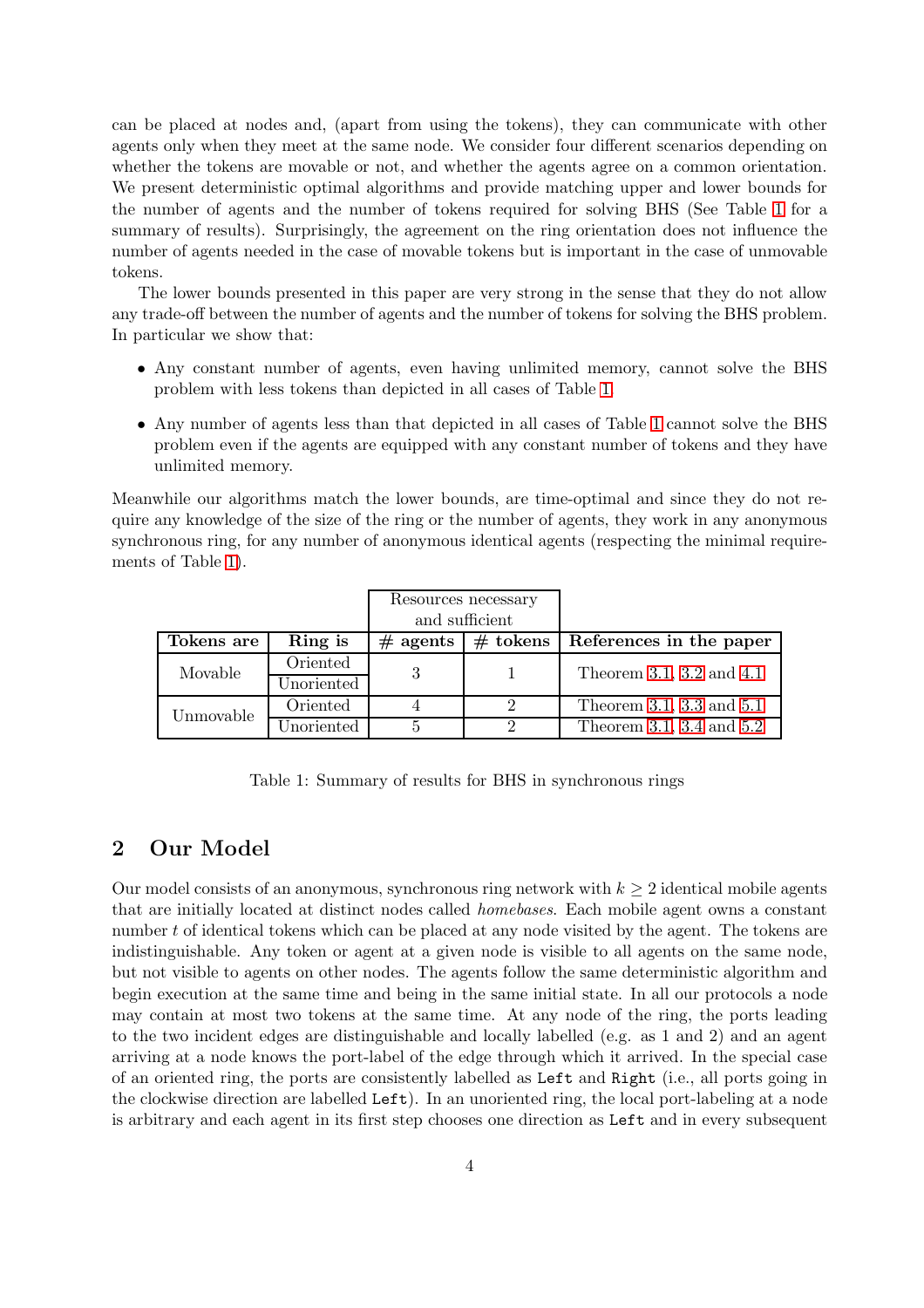can be placed at nodes and, (apart from using the tokens), they can communicate with other agents only when they meet at the same node. We consider four different scenarios depending on whether the tokens are movable or not, and whether the agents agree on a common orientation. We present deterministic optimal algorithms and provide matching upper and lower bounds for the number of agents and the number of tokens required for solving BHS (See Table [1](#page-3-0) for a summary of results). Surprisingly, the agreement on the ring orientation does not influence the number of agents needed in the case of movable tokens but is important in the case of unmovable tokens.

The lower bounds presented in this paper are very strong in the sense that they do not allow any trade-off between the number of agents and the number of tokens for solving the BHS problem. In particular we show that:

- Any constant number of agents, even having unlimited memory, cannot solve the BHS problem with less tokens than depicted in all cases of Table [1.](#page-3-0)
- Any number of agents less than that depicted in all cases of Table [1](#page-3-0) cannot solve the BHS problem even if the agents are equipped with any constant number of tokens and they have unlimited memory.

Meanwhile our algorithms match the lower bounds, are time-optimal and since they do not require any knowledge of the size of the ring or the number of agents, they work in any anonymous synchronous ring, for any number of anonymous identical agents (respecting the minimal requirements of Table [1\)](#page-3-0).

|            |            | Resources necessary |                |                            |
|------------|------------|---------------------|----------------|----------------------------|
|            |            | and sufficient      |                |                            |
| Tokens are | Ring is    | $#$ agents          | $#$ tokens     | References in the paper    |
| Movable    | Oriented   |                     |                | Theorem 3.1, 3.2 and 4.1   |
|            | Unoriented |                     |                |                            |
| Unmovable  | Oriented   |                     | $\overline{2}$ | Theorem 3.1, 3.3 and $5.1$ |
|            | Unoriented | ц                   | റ              | Theorem 3.1, 3.4 and $5.2$ |

<span id="page-3-0"></span>

| Table 1: Summary of results for BHS in synchronous rings |  |  |
|----------------------------------------------------------|--|--|
|----------------------------------------------------------|--|--|

## 2 Our Model

Our model consists of an anonymous, synchronous ring network with  $k \geq 2$  identical mobile agents that are initially located at distinct nodes called homebases. Each mobile agent owns a constant number t of identical tokens which can be placed at any node visited by the agent. The tokens are indistinguishable. Any token or agent at a given node is visible to all agents on the same node, but not visible to agents on other nodes. The agents follow the same deterministic algorithm and begin execution at the same time and being in the same initial state. In all our protocols a node may contain at most two tokens at the same time. At any node of the ring, the ports leading to the two incident edges are distinguishable and locally labelled (e.g. as 1 and 2) and an agent arriving at a node knows the port-label of the edge through which it arrived. In the special case of an oriented ring, the ports are consistently labelled as Left and Right (i.e., all ports going in the clockwise direction are labelled Left). In an unoriented ring, the local port-labeling at a node is arbitrary and each agent in its first step chooses one direction as Left and in every subsequent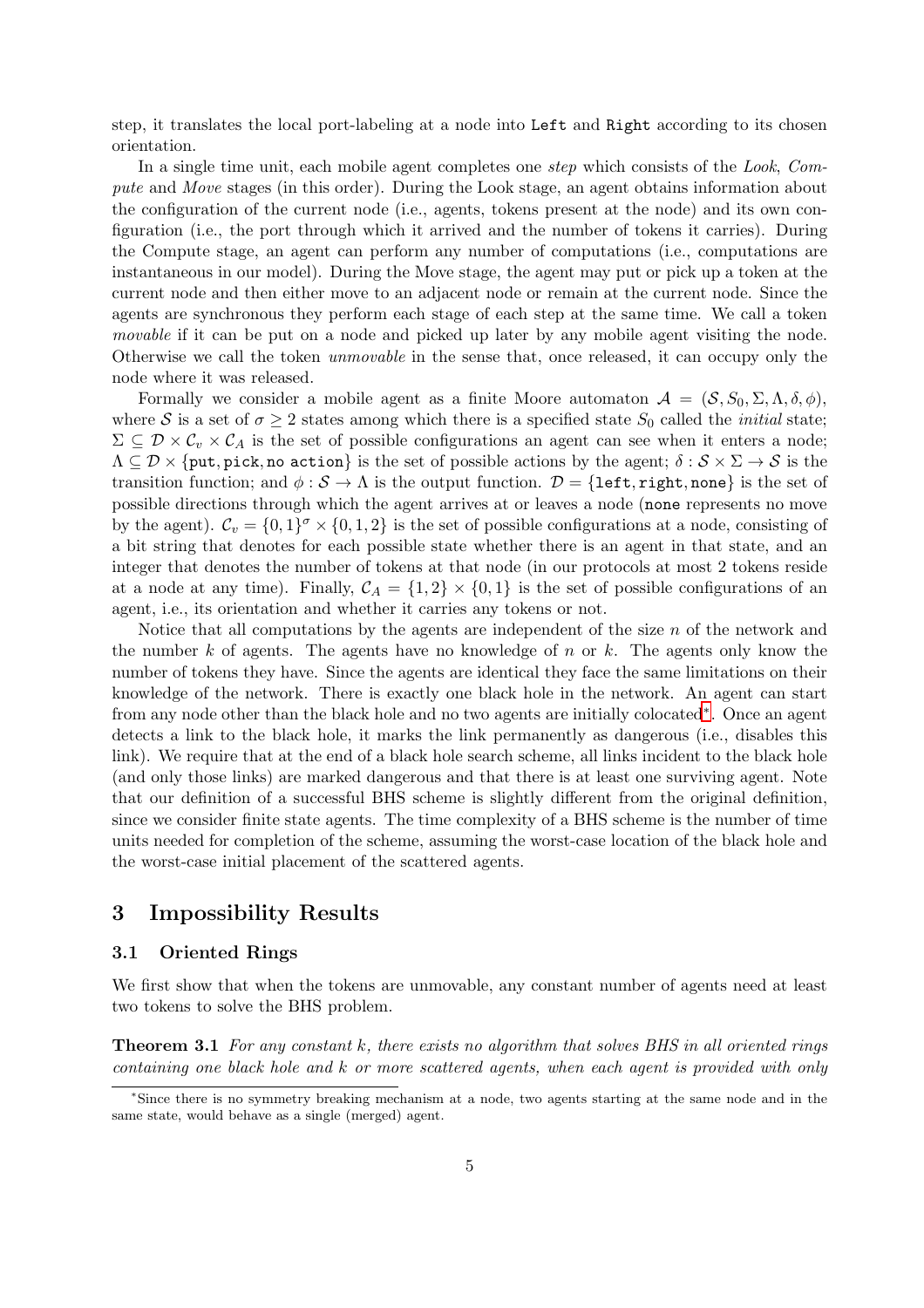step, it translates the local port-labeling at a node into Left and Right according to its chosen orientation.

In a single time unit, each mobile agent completes one *step* which consists of the Look, Compute and Move stages (in this order). During the Look stage, an agent obtains information about the configuration of the current node (i.e., agents, tokens present at the node) and its own configuration (i.e., the port through which it arrived and the number of tokens it carries). During the Compute stage, an agent can perform any number of computations (i.e., computations are instantaneous in our model). During the Move stage, the agent may put or pick up a token at the current node and then either move to an adjacent node or remain at the current node. Since the agents are synchronous they perform each stage of each step at the same time. We call a token movable if it can be put on a node and picked up later by any mobile agent visiting the node. Otherwise we call the token unmovable in the sense that, once released, it can occupy only the node where it was released.

Formally we consider a mobile agent as a finite Moore automaton  $\mathcal{A} = (\mathcal{S}, S_0, \Sigma, \Lambda, \delta, \phi)$ , where S is a set of  $\sigma \geq 2$  states among which there is a specified state  $S_0$  called the *initial* state;  $\Sigma \subseteq \mathcal{D} \times \mathcal{C}_v \times \mathcal{C}_A$  is the set of possible configurations an agent can see when it enters a node;  $\Lambda \subseteq \mathcal{D} \times \{\text{put}, \text{pick}, \text{no action}\}\$ is the set of possible actions by the agent;  $\delta : \mathcal{S} \times \Sigma \to \mathcal{S}$  is the transition function; and  $\phi : \mathcal{S} \to \Lambda$  is the output function.  $\mathcal{D} = \{\text{left}, \text{right}, \text{none}\}\$ is the set of possible directions through which the agent arrives at or leaves a node (none represents no move by the agent).  $\mathcal{C}_v = \{0, 1\}^\sigma \times \{0, 1, 2\}$  is the set of possible configurations at a node, consisting of a bit string that denotes for each possible state whether there is an agent in that state, and an integer that denotes the number of tokens at that node (in our protocols at most 2 tokens reside at a node at any time). Finally,  $C_A = \{1,2\} \times \{0,1\}$  is the set of possible configurations of an agent, i.e., its orientation and whether it carries any tokens or not.

Notice that all computations by the agents are independent of the size  $n$  of the network and the number k of agents. The agents have no knowledge of n or k. The agents only know the number of tokens they have. Since the agents are identical they face the same limitations on their knowledge of the network. There is exactly one black hole in the network. An agent can start from any node other than the black hole and no two agents are initially colocated[∗](#page-4-1) . Once an agent detects a link to the black hole, it marks the link permanently as dangerous (i.e., disables this link). We require that at the end of a black hole search scheme, all links incident to the black hole (and only those links) are marked dangerous and that there is at least one surviving agent. Note that our definition of a successful BHS scheme is slightly different from the original definition, since we consider finite state agents. The time complexity of a BHS scheme is the number of time units needed for completion of the scheme, assuming the worst-case location of the black hole and the worst-case initial placement of the scattered agents.

## 3 Impossibility Results

#### 3.1 Oriented Rings

<span id="page-4-0"></span>We first show that when the tokens are unmovable, any constant number of agents need at least two tokens to solve the BHS problem.

**Theorem 3.1** For any constant k, there exists no algorithm that solves BHS in all oriented rings containing one black hole and k or more scattered agents, when each agent is provided with only

<span id="page-4-1"></span><sup>∗</sup> Since there is no symmetry breaking mechanism at a node, two agents starting at the same node and in the same state, would behave as a single (merged) agent.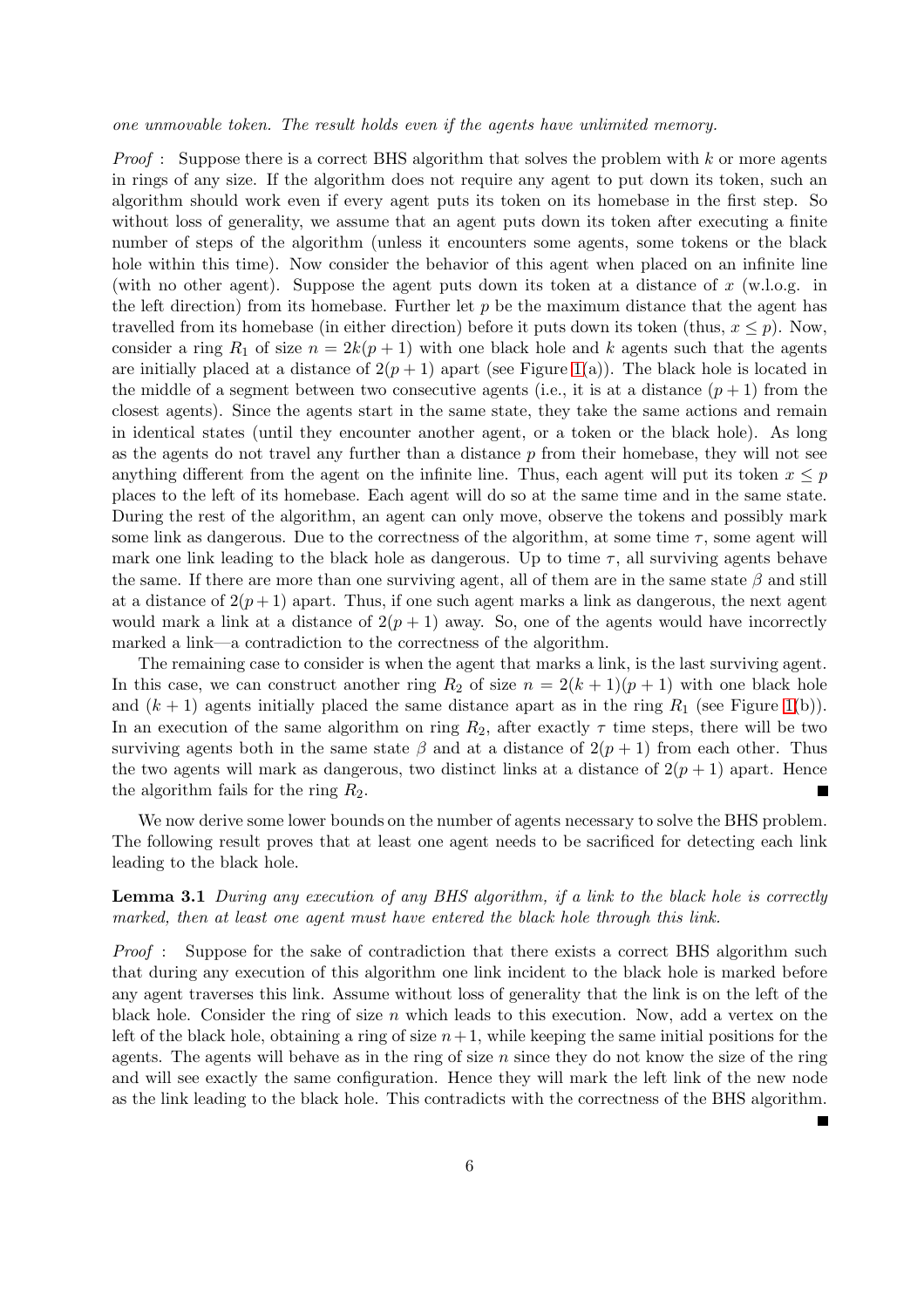one unmovable token. The result holds even if the agents have unlimited memory.

*Proof* : Suppose there is a correct BHS algorithm that solves the problem with k or more agents in rings of any size. If the algorithm does not require any agent to put down its token, such an algorithm should work even if every agent puts its token on its homebase in the first step. So without loss of generality, we assume that an agent puts down its token after executing a finite number of steps of the algorithm (unless it encounters some agents, some tokens or the black hole within this time). Now consider the behavior of this agent when placed on an infinite line (with no other agent). Suppose the agent puts down its token at a distance of x (w.l.o.g. in the left direction) from its homebase. Further let  $p$  be the maximum distance that the agent has travelled from its homebase (in either direction) before it puts down its token (thus,  $x \leq p$ ). Now, consider a ring  $R_1$  of size  $n = 2k(p + 1)$  with one black hole and k agents such that the agents are initially placed at a distance of  $2(p + 1)$  apart (see Figure [1\(](#page-6-2)a)). The black hole is located in the middle of a segment between two consecutive agents (i.e., it is at a distance  $(p+1)$  from the closest agents). Since the agents start in the same state, they take the same actions and remain in identical states (until they encounter another agent, or a token or the black hole). As long as the agents do not travel any further than a distance  $p$  from their homebase, they will not see anything different from the agent on the infinite line. Thus, each agent will put its token  $x \leq p$ places to the left of its homebase. Each agent will do so at the same time and in the same state. During the rest of the algorithm, an agent can only move, observe the tokens and possibly mark some link as dangerous. Due to the correctness of the algorithm, at some time  $\tau$ , some agent will mark one link leading to the black hole as dangerous. Up to time  $\tau$ , all surviving agents behave the same. If there are more than one surviving agent, all of them are in the same state  $\beta$  and still at a distance of  $2(p+1)$  apart. Thus, if one such agent marks a link as dangerous, the next agent would mark a link at a distance of  $2(p + 1)$  away. So, one of the agents would have incorrectly marked a link—a contradiction to the correctness of the algorithm.

The remaining case to consider is when the agent that marks a link, is the last surviving agent. In this case, we can construct another ring  $R_2$  of size  $n = 2(k + 1)(p + 1)$  with one black hole and  $(k + 1)$  agents initially placed the same distance apart as in the ring  $R_1$  (see Figure [1\(](#page-6-2)b)). In an execution of the same algorithm on ring  $R_2$ , after exactly  $\tau$  time steps, there will be two surviving agents both in the same state  $\beta$  and at a distance of  $2(p+1)$  from each other. Thus the two agents will mark as dangerous, two distinct links at a distance of  $2(p + 1)$  apart. Hence the algorithm fails for the ring  $R_2$ .

We now derive some lower bounds on the number of agents necessary to solve the BHS problem. The following result proves that at least one agent needs to be sacrificed for detecting each link leading to the black hole.

#### <span id="page-5-0"></span>Lemma 3.1 During any execution of any BHS algorithm, if a link to the black hole is correctly marked, then at least one agent must have entered the black hole through this link.

Proof : Suppose for the sake of contradiction that there exists a correct BHS algorithm such that during any execution of this algorithm one link incident to the black hole is marked before any agent traverses this link. Assume without loss of generality that the link is on the left of the black hole. Consider the ring of size  $n$  which leads to this execution. Now, add a vertex on the left of the black hole, obtaining a ring of size  $n+1$ , while keeping the same initial positions for the agents. The agents will behave as in the ring of size  $n$  since they do not know the size of the ring and will see exactly the same configuration. Hence they will mark the left link of the new node as the link leading to the black hole. This contradicts with the correctness of the BHS algorithm.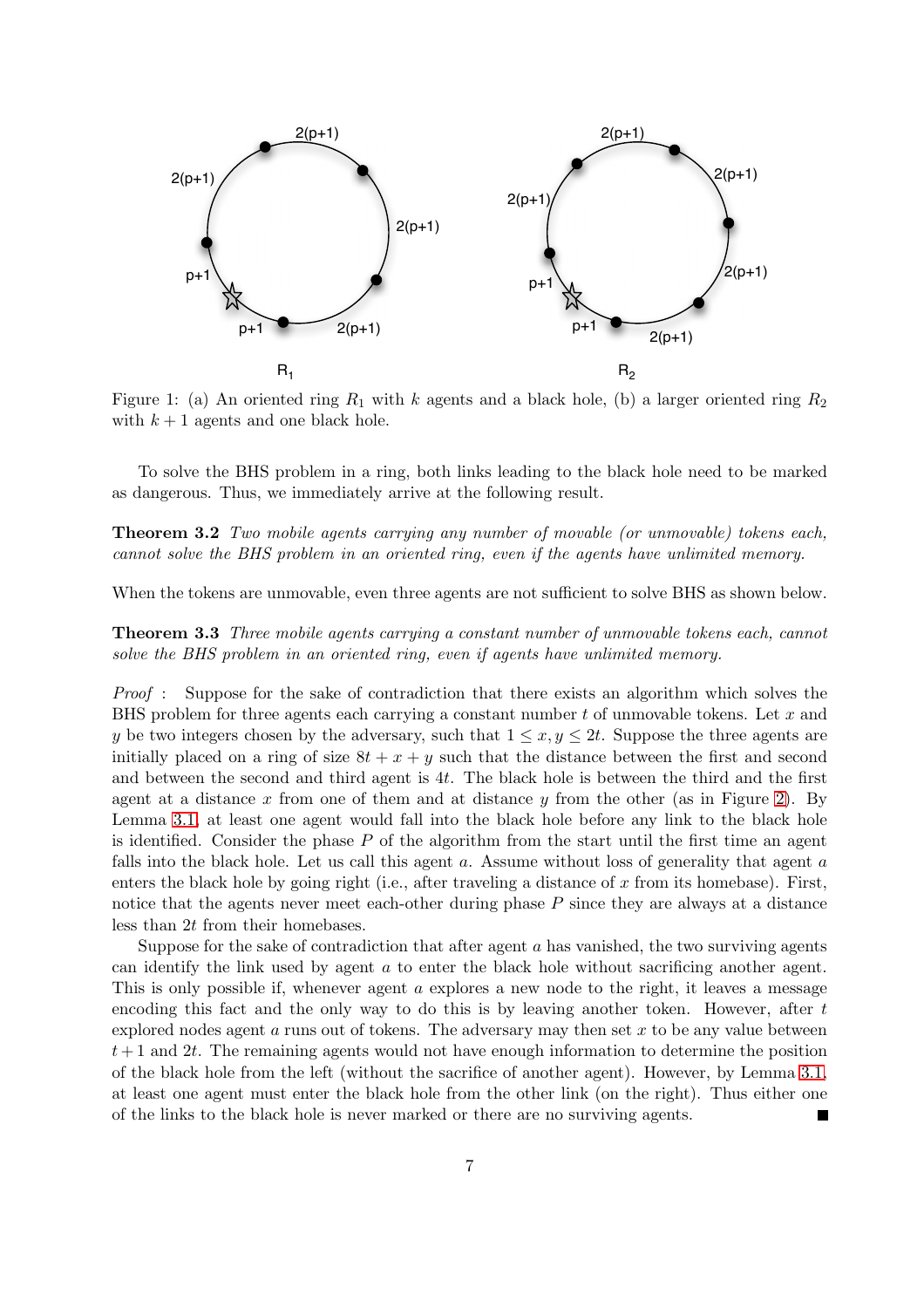

<span id="page-6-2"></span>Figure 1: (a) An oriented ring  $R_1$  with k agents and a black hole, (b) a larger oriented ring  $R_2$ with  $k + 1$  agents and one black hole.

<span id="page-6-0"></span>To solve the BHS problem in a ring, both links leading to the black hole need to be marked as dangerous. Thus, we immediately arrive at the following result.

Theorem 3.2 Two mobile agents carrying any number of movable (or unmovable) tokens each, cannot solve the BHS problem in an oriented ring, even if the agents have unlimited memory.

<span id="page-6-1"></span>When the tokens are unmovable, even three agents are not sufficient to solve BHS as shown below.

Theorem 3.3 Three mobile agents carrying a constant number of unmovable tokens each, cannot solve the BHS problem in an oriented ring, even if agents have unlimited memory.

Proof: Suppose for the sake of contradiction that there exists an algorithm which solves the BHS problem for three agents each carrying a constant number t of unmovable tokens. Let x and y be two integers chosen by the adversary, such that  $1 \leq x, y \leq 2t$ . Suppose the three agents are initially placed on a ring of size  $8t + x + y$  such that the distance between the first and second and between the second and third agent is 4t. The black hole is between the third and the first agent at a distance x from one of them and at distance y from the other (as in Figure [2\)](#page-7-1). By Lemma [3.1,](#page-5-0) at least one agent would fall into the black hole before any link to the black hole is identified. Consider the phase  $P$  of the algorithm from the start until the first time an agent falls into the black hole. Let us call this agent a. Assume without loss of generality that agent a enters the black hole by going right (i.e., after traveling a distance of x from its homebase). First, notice that the agents never meet each-other during phase P since they are always at a distance less than 2t from their homebases.

Suppose for the sake of contradiction that after agent a has vanished, the two surviving agents can identify the link used by agent a to enter the black hole without sacrificing another agent. This is only possible if, whenever agent a explores a new node to the right, it leaves a message encoding this fact and the only way to do this is by leaving another token. However, after t explored nodes agent  $a$  runs out of tokens. The adversary may then set  $x$  to be any value between  $t+1$  and 2t. The remaining agents would not have enough information to determine the position of the black hole from the left (without the sacrifice of another agent). However, by Lemma [3.1,](#page-5-0) at least one agent must enter the black hole from the other link (on the right). Thus either one of the links to the black hole is never marked or there are no surviving agents.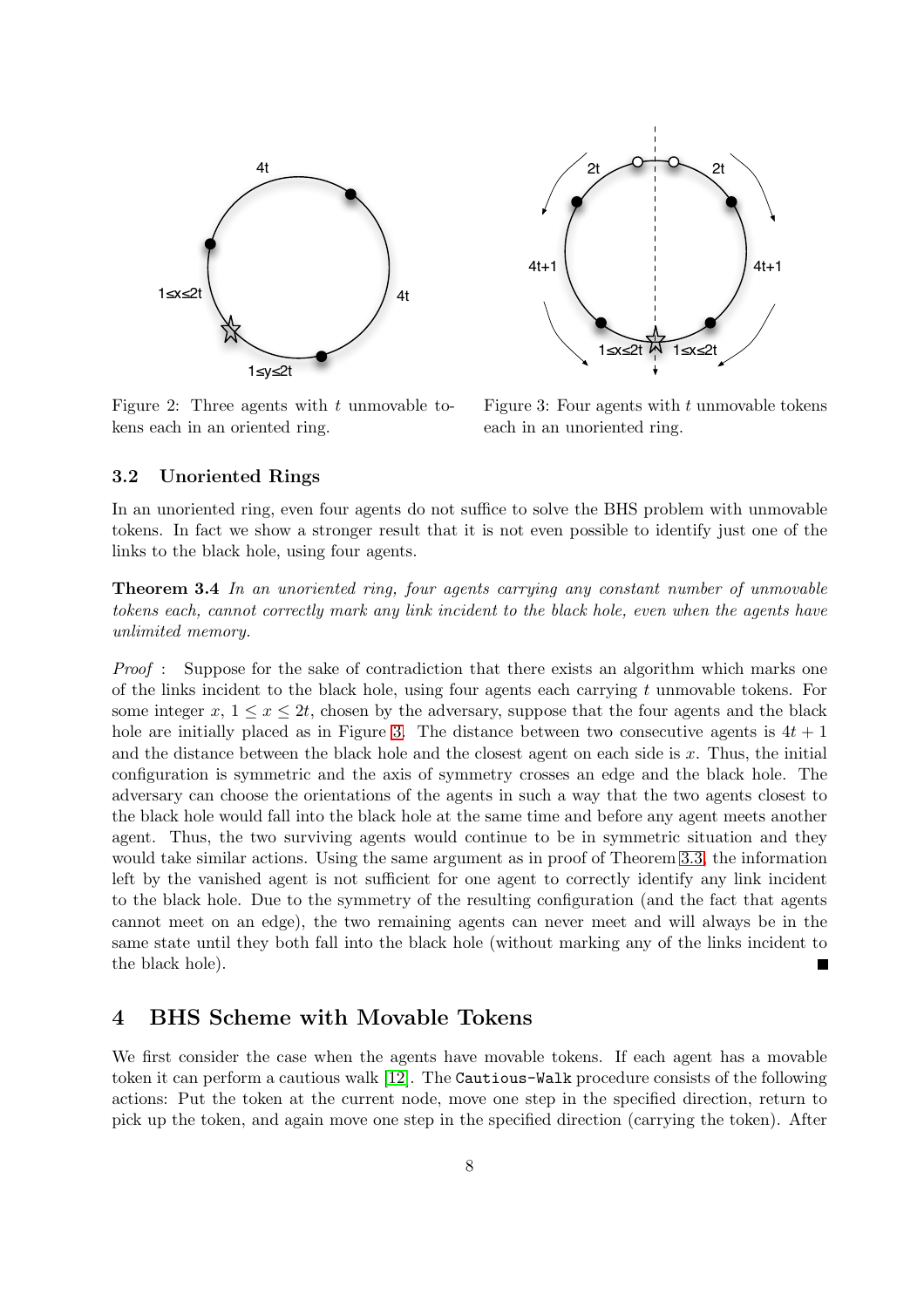

<span id="page-7-1"></span>Figure 2: Three agents with  $t$  unmovable tokens each in an oriented ring.



<span id="page-7-2"></span>Figure 3: Four agents with  $t$  unmovable tokens each in an unoriented ring.

#### 3.2 Unoriented Rings

In an unoriented ring, even four agents do not suffice to solve the BHS problem with unmovable tokens. In fact we show a stronger result that it is not even possible to identify just one of the links to the black hole, using four agents.

<span id="page-7-0"></span>**Theorem 3.4** In an unoriented ring, four agents carrying any constant number of unmovable tokens each, cannot correctly mark any link incident to the black hole, even when the agents have unlimited memory.

Proof : Suppose for the sake of contradiction that there exists an algorithm which marks one of the links incident to the black hole, using four agents each carrying  $t$  unmovable tokens. For some integer x,  $1 \leq x \leq 2t$ , chosen by the adversary, suppose that the four agents and the black hole are initially placed as in Figure [3.](#page-7-2) The distance between two consecutive agents is  $4t + 1$ and the distance between the black hole and the closest agent on each side is  $x$ . Thus, the initial configuration is symmetric and the axis of symmetry crosses an edge and the black hole. The adversary can choose the orientations of the agents in such a way that the two agents closest to the black hole would fall into the black hole at the same time and before any agent meets another agent. Thus, the two surviving agents would continue to be in symmetric situation and they would take similar actions. Using the same argument as in proof of Theorem [3.3,](#page-6-1) the information left by the vanished agent is not sufficient for one agent to correctly identify any link incident to the black hole. Due to the symmetry of the resulting configuration (and the fact that agents cannot meet on an edge), the two remaining agents can never meet and will always be in the same state until they both fall into the black hole (without marking any of the links incident to the black hole).

## 4 BHS Scheme with Movable Tokens

We first consider the case when the agents have movable tokens. If each agent has a movable token it can perform a cautious walk [\[12\]](#page-16-0). The Cautious-Walk procedure consists of the following actions: Put the token at the current node, move one step in the specified direction, return to pick up the token, and again move one step in the specified direction (carrying the token). After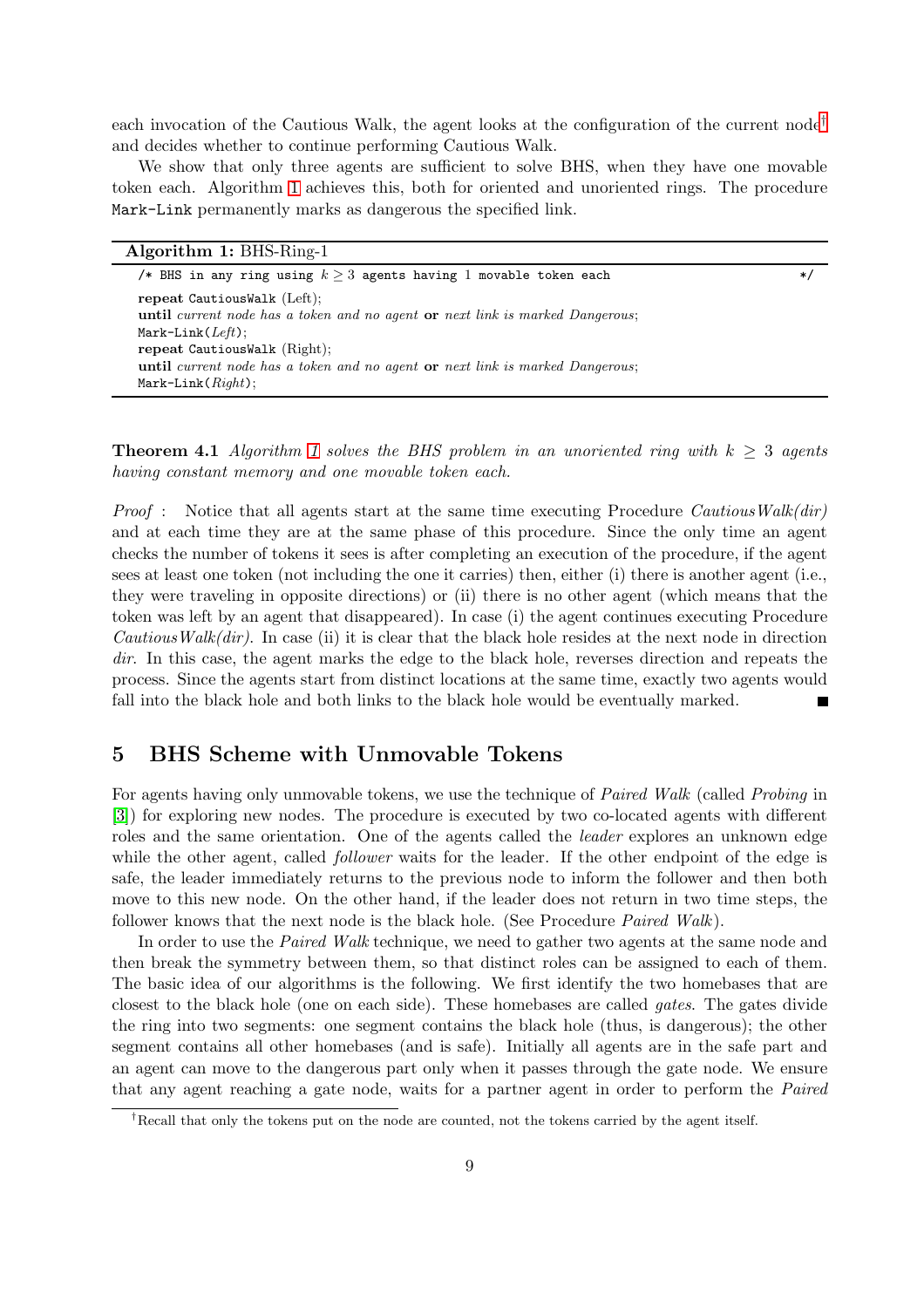each invocation of the Cautious Walk, the agent looks at the configuration of the current node<sup>[†](#page-8-1)</sup> and decides whether to continue performing Cautious Walk.

We show that only three agents are sufficient to solve BHS, when they have one movable token each. Algorithm [1](#page-8-2) achieves this, both for oriented and unoriented rings. The procedure Mark-Link permanently marks as dangerous the specified link.

| Algorithm 1: BHS-Ring-1                                                                                                                                              |     |
|----------------------------------------------------------------------------------------------------------------------------------------------------------------------|-----|
| /* BHS in any ring using $k > 3$ agents having 1 movable token each                                                                                                  | $*$ |
| repeat CautiousWalk (Left);<br>until current node has a token and no agent or next link is marked Dangerous;<br>Mark-Link $(Left)$ ;<br>repeat CautiousWalk (Right); |     |
| <b>until</b> current node has a token and no agent <b>or</b> next link is marked Dangerous;<br>$Mark-Link(Right);$                                                   |     |

<span id="page-8-2"></span><span id="page-8-0"></span>**Theorem 4.1** Algorithm [1](#page-8-2) solves the BHS problem in an unoriented ring with  $k \geq 3$  agents having constant memory and one movable token each.

*Proof* : Notice that all agents start at the same time executing Procedure Cautious  $Walk(dr)$ and at each time they are at the same phase of this procedure. Since the only time an agent checks the number of tokens it sees is after completing an execution of the procedure, if the agent sees at least one token (not including the one it carries) then, either (i) there is another agent (i.e., they were traveling in opposite directions) or (ii) there is no other agent (which means that the token was left by an agent that disappeared). In case (i) the agent continues executing Procedure  $CautiousWalk-dir)$ . In case (ii) it is clear that the black hole resides at the next node in direction dir. In this case, the agent marks the edge to the black hole, reverses direction and repeats the process. Since the agents start from distinct locations at the same time, exactly two agents would fall into the black hole and both links to the black hole would be eventually marked.

## 5 BHS Scheme with Unmovable Tokens

For agents having only unmovable tokens, we use the technique of Paired Walk (called Probing in [\[3\]](#page-16-1)) for exploring new nodes. The procedure is executed by two co-located agents with different roles and the same orientation. One of the agents called the *leader* explores an unknown edge while the other agent, called *follower* waits for the leader. If the other endpoint of the edge is safe, the leader immediately returns to the previous node to inform the follower and then both move to this new node. On the other hand, if the leader does not return in two time steps, the follower knows that the next node is the black hole. (See Procedure Paired Walk).

In order to use the Paired Walk technique, we need to gather two agents at the same node and then break the symmetry between them, so that distinct roles can be assigned to each of them. The basic idea of our algorithms is the following. We first identify the two homebases that are closest to the black hole (one on each side). These homebases are called gates. The gates divide the ring into two segments: one segment contains the black hole (thus, is dangerous); the other segment contains all other homebases (and is safe). Initially all agents are in the safe part and an agent can move to the dangerous part only when it passes through the gate node. We ensure that any agent reaching a gate node, waits for a partner agent in order to perform the Paired

<span id="page-8-1"></span><sup>&</sup>lt;sup>†</sup>Recall that only the tokens put on the node are counted, not the tokens carried by the agent itself.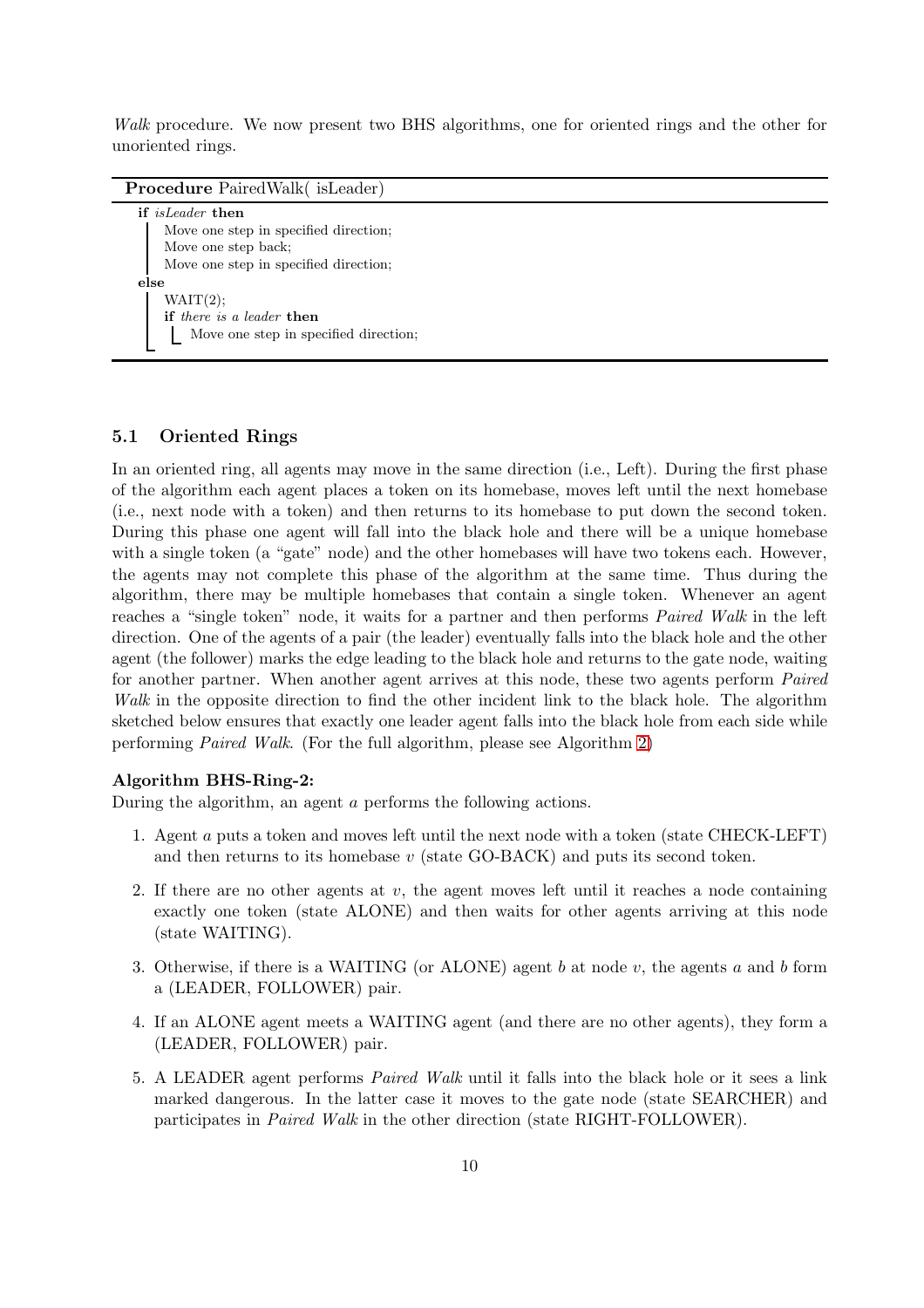Walk procedure. We now present two BHS algorithms, one for oriented rings and the other for unoriented rings.

Procedure PairedWalk( isLeader)

if isLeader then Move one step in specified direction; Move one step back; Move one step in specified direction; else  $WAIT(2);$ if there is a leader then Move one step in specified direction;

#### 5.1 Oriented Rings

In an oriented ring, all agents may move in the same direction (i.e., Left). During the first phase of the algorithm each agent places a token on its homebase, moves left until the next homebase (i.e., next node with a token) and then returns to its homebase to put down the second token. During this phase one agent will fall into the black hole and there will be a unique homebase with a single token (a "gate" node) and the other homebases will have two tokens each. However, the agents may not complete this phase of the algorithm at the same time. Thus during the algorithm, there may be multiple homebases that contain a single token. Whenever an agent reaches a "single token" node, it waits for a partner and then performs Paired Walk in the left direction. One of the agents of a pair (the leader) eventually falls into the black hole and the other agent (the follower) marks the edge leading to the black hole and returns to the gate node, waiting for another partner. When another agent arrives at this node, these two agents perform Paired Walk in the opposite direction to find the other incident link to the black hole. The algorithm sketched below ensures that exactly one leader agent falls into the black hole from each side while performing Paired Walk. (For the full algorithm, please see Algorithm [2\)](#page-10-0)

#### Algorithm BHS-Ring-2:

During the algorithm, an agent a performs the following actions.

- 1. Agent a puts a token and moves left until the next node with a token (state CHECK-LEFT) and then returns to its homebase  $v$  (state GO-BACK) and puts its second token.
- 2. If there are no other agents at  $v$ , the agent moves left until it reaches a node containing exactly one token (state ALONE) and then waits for other agents arriving at this node (state WAITING).
- 3. Otherwise, if there is a WAITING (or ALONE) agent b at node v, the agents a and b form a (LEADER, FOLLOWER) pair.
- 4. If an ALONE agent meets a WAITING agent (and there are no other agents), they form a (LEADER, FOLLOWER) pair.
- 5. A LEADER agent performs Paired Walk until it falls into the black hole or it sees a link marked dangerous. In the latter case it moves to the gate node (state SEARCHER) and participates in Paired Walk in the other direction (state RIGHT-FOLLOWER).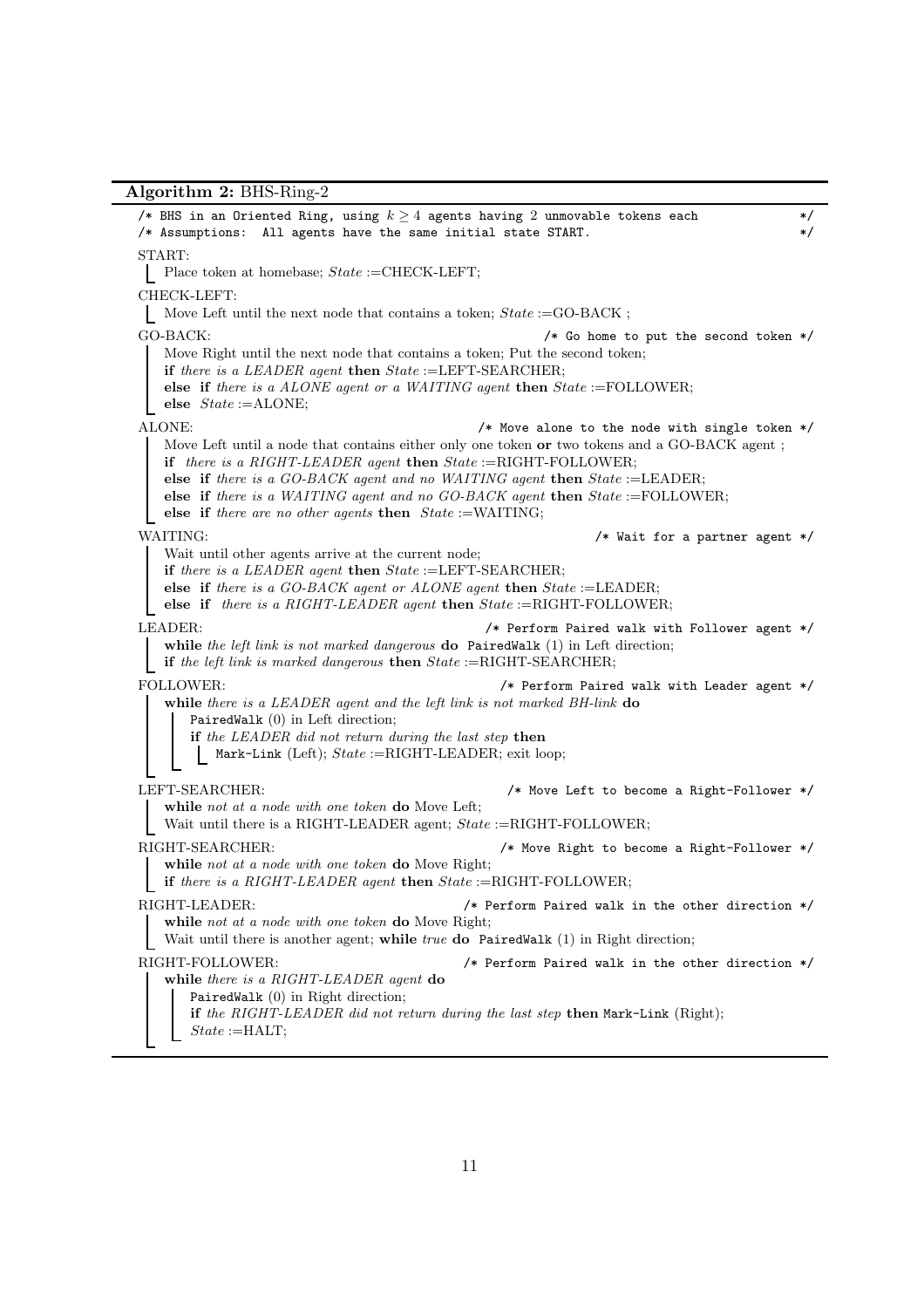Algorithm 2: BHS-Ring-2

<span id="page-10-0"></span>

| $\arg$ u kuun $\omega$ . Diis-King- $\omega$                                                                                                            |                                                                                               |          |  |  |  |
|---------------------------------------------------------------------------------------------------------------------------------------------------------|-----------------------------------------------------------------------------------------------|----------|--|--|--|
| /* BHS in an Oriented Ring, using $k \geq 4$ agents having 2 unmovable tokens each<br>/* Assumptions: All agents have the same initial state START.     |                                                                                               | */<br>*/ |  |  |  |
| START:                                                                                                                                                  |                                                                                               |          |  |  |  |
| Place token at homebase; State := CHECK-LEFT;                                                                                                           |                                                                                               |          |  |  |  |
| CHECK-LEFT:                                                                                                                                             |                                                                                               |          |  |  |  |
| Move Left until the next node that contains a token; $State := GO-BACK$ ;                                                                               |                                                                                               |          |  |  |  |
| GO-BACK:                                                                                                                                                | /* Go home to put the second token */                                                         |          |  |  |  |
| Move Right until the next node that contains a token; Put the second token;<br>if there is a LEADER agent then $State := LEFT-SEARCHCHER;$              |                                                                                               |          |  |  |  |
| else if there is a ALONE agent or a WAITING agent then $State := \text{FOLLOWER};$<br>else $State := \text{ALONE};$                                     |                                                                                               |          |  |  |  |
| ALONE:                                                                                                                                                  | /* Move alone to the node with single token $*/$                                              |          |  |  |  |
| if there is a RIGHT-LEADER agent then $State := \text{RIGHT-FOLLOWER};$                                                                                 | Move Left until a node that contains either only one token or two tokens and a GO-BACK agent; |          |  |  |  |
| else if there is a GO-BACK agent and no WAITING agent then $State := LEADER;$                                                                           |                                                                                               |          |  |  |  |
| else if there is a WAITING agent and no $GO-BACK$ agent then $State := \text{FOLLOWER};$                                                                |                                                                                               |          |  |  |  |
| else if there are no other agents then $State := \text{WAITING}$ ;                                                                                      |                                                                                               |          |  |  |  |
| WAITING:                                                                                                                                                | /* Wait for a partner agent */                                                                |          |  |  |  |
| Wait until other agents arrive at the current node;                                                                                                     |                                                                                               |          |  |  |  |
| if there is a LEADER agent then $State := LEFT-SEARCHCHER;$                                                                                             |                                                                                               |          |  |  |  |
| else if there is a GO-BACK agent or ALONE agent then $State :=$ LEADER;<br>else if there is a RIGHT-LEADER agent then $State := \text{RIGHT-FOLLOWER};$ |                                                                                               |          |  |  |  |
| LEADER:                                                                                                                                                 |                                                                                               |          |  |  |  |
| while the left link is not marked dangerous do PairedWalk $(1)$ in Left direction;                                                                      | /* Perform Paired walk with Follower agent */                                                 |          |  |  |  |
| <b>if</b> the left link is marked dangerous <b>then</b> State := RIGHT-SEARCHER;                                                                        |                                                                                               |          |  |  |  |
| FOLLOWER:                                                                                                                                               | /* Perform Paired walk with Leader agent */                                                   |          |  |  |  |
| while there is a LEADER agent and the left link is not marked BH-link do                                                                                |                                                                                               |          |  |  |  |
| PairedWalk $(0)$ in Left direction;                                                                                                                     |                                                                                               |          |  |  |  |
| if the LEADER did not return during the last step then                                                                                                  |                                                                                               |          |  |  |  |
| Mark-Link (Left); State := RIGHT-LEADER; exit loop;                                                                                                     |                                                                                               |          |  |  |  |
| LEFT-SEARCHER:                                                                                                                                          | /* Move Left to become a Right-Follower */                                                    |          |  |  |  |
| while not at a node with one token do Move Left;                                                                                                        |                                                                                               |          |  |  |  |
| Wait until there is a RIGHT-LEADER agent; State := RIGHT-FOLLOWER;                                                                                      |                                                                                               |          |  |  |  |
| RIGHT-SEARCHER:                                                                                                                                         | /* Move Right to become a Right-Follower */                                                   |          |  |  |  |
| while not at a node with one token do Move Right;<br>if there is a RIGHT-LEADER agent then $State := \text{RIGHT-FOLLOWER};$                            |                                                                                               |          |  |  |  |
| RIGHT-LEADER:                                                                                                                                           | /* Perform Paired walk in the other direction */                                              |          |  |  |  |
| while not at a node with one token do Move Right;                                                                                                       |                                                                                               |          |  |  |  |
| Wait until there is another agent; while $true$ do PairedWalk $(1)$ in Right direction;                                                                 |                                                                                               |          |  |  |  |
| RIGHT-FOLLOWER:                                                                                                                                         | /* Perform Paired walk in the other direction */                                              |          |  |  |  |
| while there is a RIGHT-LEADER agent do                                                                                                                  |                                                                                               |          |  |  |  |
| PairedWalk $(0)$ in Right direction;<br>if the RIGHT-LEADER did not return during the last step then Mark-Link (Right);                                 |                                                                                               |          |  |  |  |
| $State := HALT;$                                                                                                                                        |                                                                                               |          |  |  |  |
|                                                                                                                                                         |                                                                                               |          |  |  |  |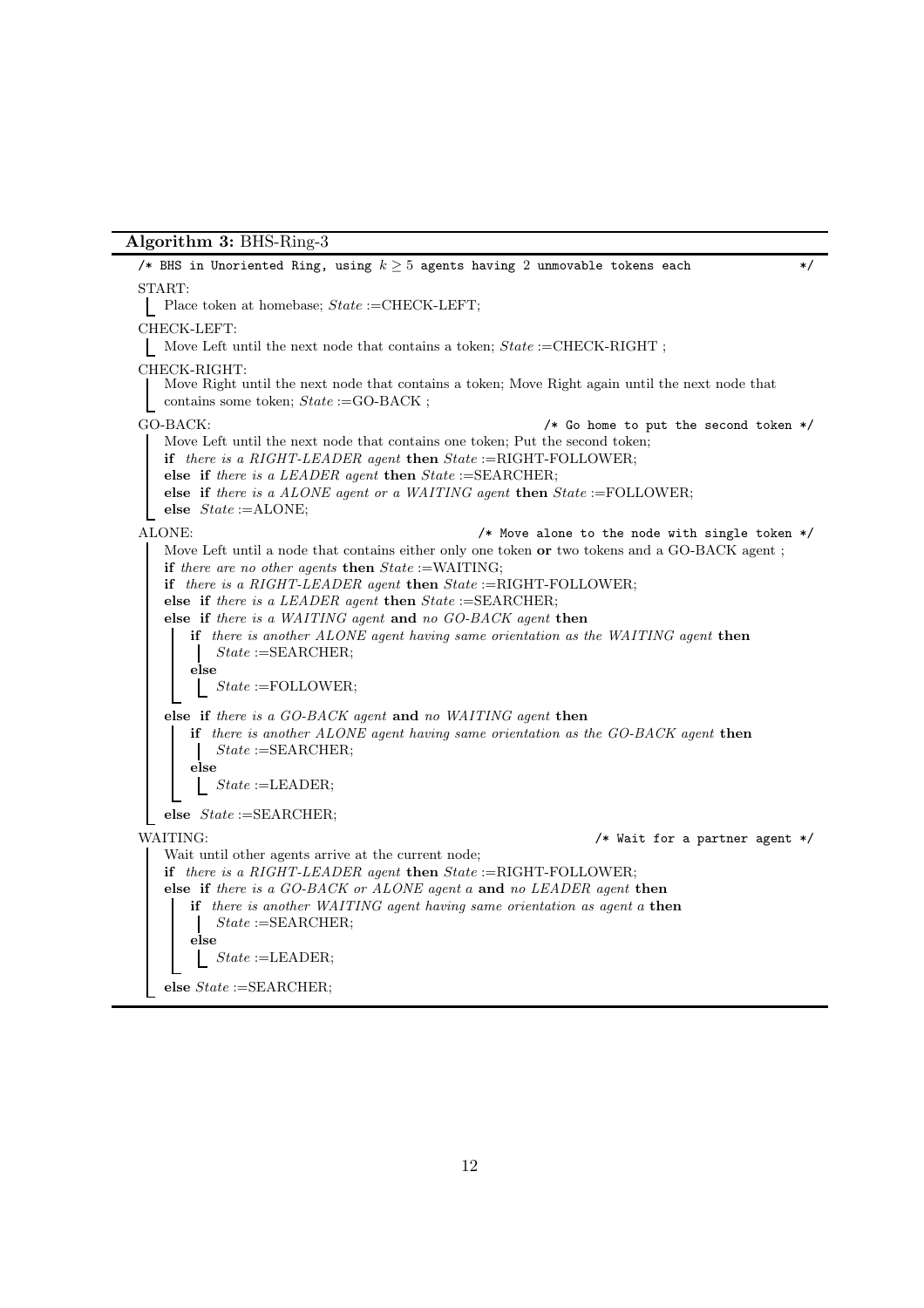Algorithm 3: BHS-Ring-3

<span id="page-11-0"></span>/\* BHS in Unoriented Ring, using  $k \geq 5$  agents having 2 unmovable tokens each \*/ START: Place token at homebase;  $State := \text{CHECK-LEFT};$ CHECK-LEFT: Move Left until the next node that contains a token;  $State := \text{CHECK-RIGHT}$ ; CHECK-RIGHT: Move Right until the next node that contains a token; Move Right again until the next node that contains some token;  $State := GO-BACK$ ; GO-BACK:  $\sqrt{*}$  Go home to put the second token  $\sqrt{*}$ Move Left until the next node that contains one token; Put the second token; if there is a RIGHT-LEADER agent then  $State := \text{RIGHT-FOLDWER}$ ; else if there is a LEADER agent then  $State := \text{SEARCHER};$ else if there is a ALONE agent or a WAITING agent then  $State := \text{FOLLOWER}:$ else  $State := \text{ALONE}$ ; ALONE: /\* Move alone to the node with single token \*/ Move Left until a node that contains either only one token or two tokens and a GO-BACK agent ; if there are no other agents then  $State := \text{WAITING}$ ; if there is a RIGHT-LEADER agent then  $State := RIGHT-FOLLOWER;$ else if there is a LEADER agent then State := SEARCHER; else if there is a WAITING agent and no GO-BACK agent then if there is another ALONE agent having same orientation as the WAITING agent then  $State := \text{SEARCHER};$ else State :=FOLLOWER; else if there is a GO-BACK agent and no WAITING agent then if there is another ALONE agent having same orientation as the GO-BACK agent then  $State := \text{SEARCHER};$ else | State :=LEADER; else  $State := \text{SEARCHER};$ WAITING:  $\sqrt{*}$  Wait for a partner agent  $\sqrt{*}$ Wait until other agents arrive at the current node; if there is a RIGHT-LEADER agent then  $State := \text{RIGHT-FOLLOWER};$ else if there is a GO-BACK or ALONE agent a and no LEADER agent then if there is another WAITING agent having same orientation as agent a then  $State := \text{SEARCHER};$ else  $State :=$ LEADER; else State :=SEARCHER;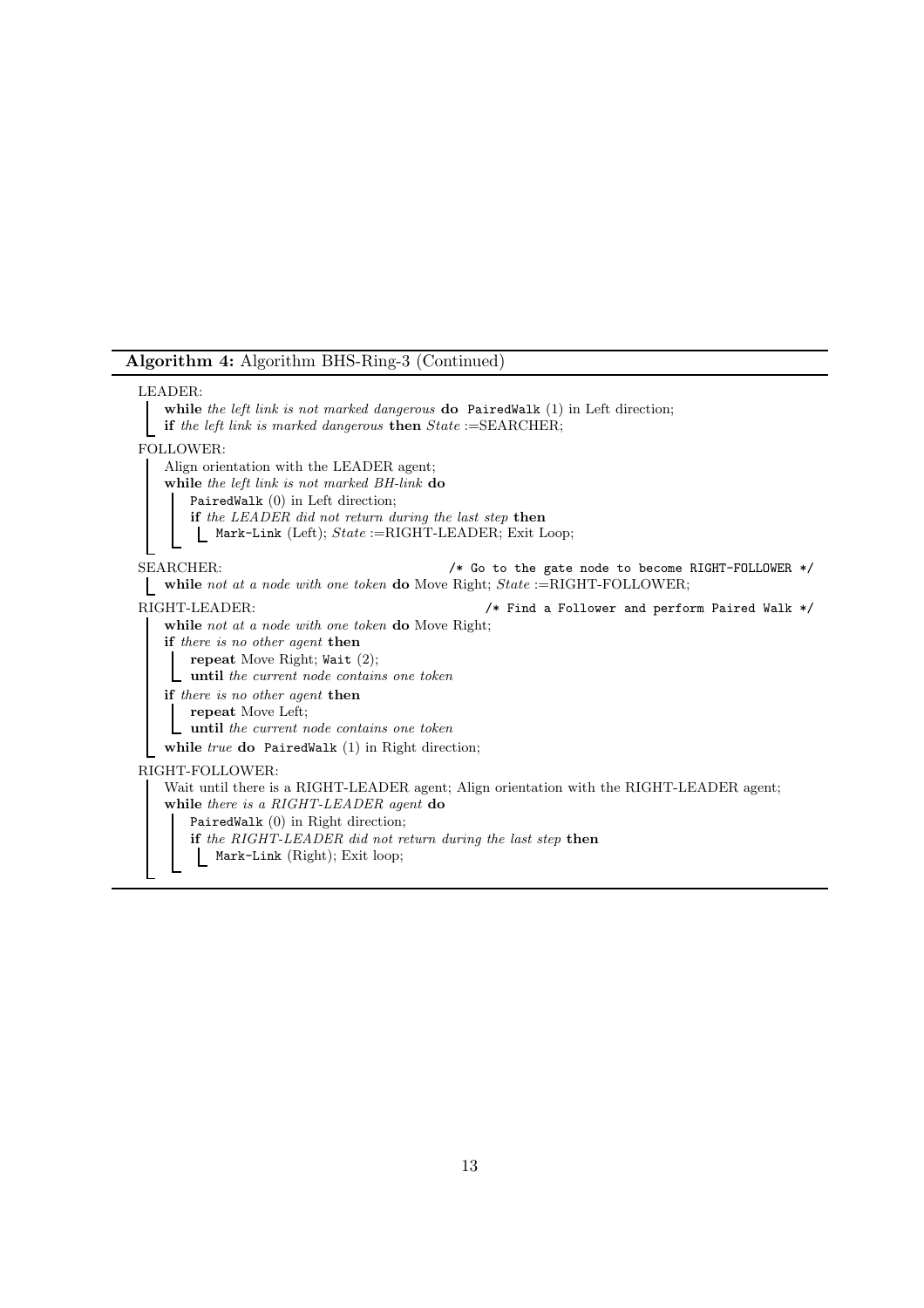#### Algorithm 4: Algorithm BHS-Ring-3 (Continued)

LEADER:

while the left link is not marked dangerous  $\bf{do}$  PairedWalk (1) in Left direction; if the left link is marked dangerous then  $State := \text{SEARCHER};$ FOLLOWER: Align orientation with the LEADER agent; while the left link is not marked BH-link do PairedWalk (0) in Left direction; if the LEADER did not return during the last step then Mark-Link (Left); State :=RIGHT-LEADER; Exit Loop; SEARCHER: /\* Go to the gate node to become RIGHT-FOLLOWER \*/ while not at a node with one token do Move Right;  $State := \overline{\text{RIGHT-FOLLOWER}}$ ; RIGHT-LEADER: /\* Find a Follower and perform Paired Walk \*/ while not at a node with one token do Move Right; if there is no other agent then repeat Move Right; Wait (2); until the current node contains one token if there is no other agent then repeat Move Left; until the current node contains one token while true do PairedWalk (1) in Right direction; RIGHT-FOLLOWER: Wait until there is a RIGHT-LEADER agent; Align orientation with the RIGHT-LEADER agent; while there is a RIGHT-LEADER agent do PairedWalk (0) in Right direction; if the RIGHT-LEADER did not return during the last step then Mark-Link (Right); Exit loop;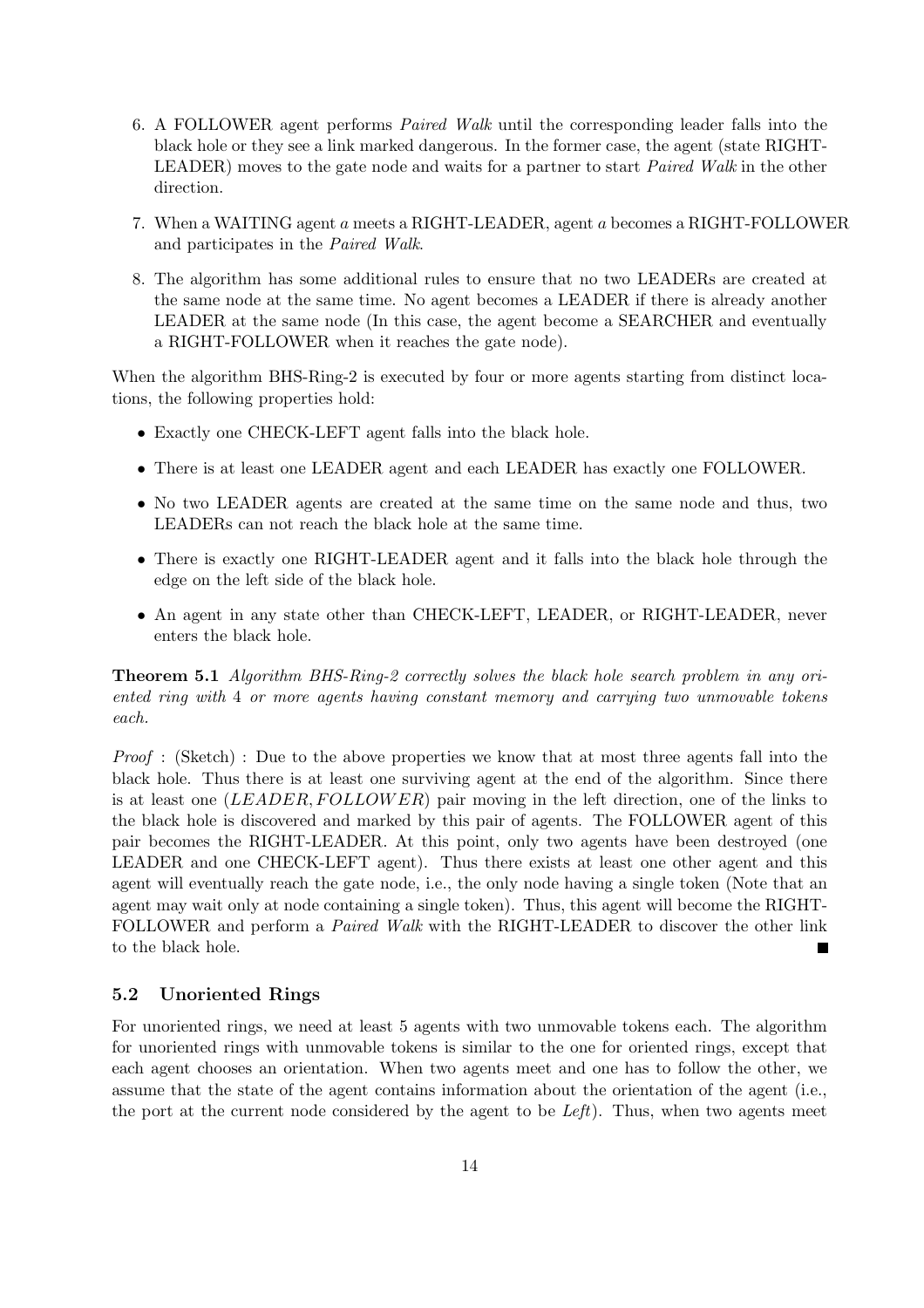- 6. A FOLLOWER agent performs Paired Walk until the corresponding leader falls into the black hole or they see a link marked dangerous. In the former case, the agent (state RIGHT-LEADER) moves to the gate node and waits for a partner to start Paired Walk in the other direction.
- 7. When a WAITING agent a meets a RIGHT-LEADER, agent a becomes a RIGHT-FOLLOWER and participates in the Paired Walk.
- 8. The algorithm has some additional rules to ensure that no two LEADERs are created at the same node at the same time. No agent becomes a LEADER if there is already another LEADER at the same node (In this case, the agent become a SEARCHER and eventually a RIGHT-FOLLOWER when it reaches the gate node).

When the algorithm BHS-Ring-2 is executed by four or more agents starting from distinct locations, the following properties hold:

- Exactly one CHECK-LEFT agent falls into the black hole.
- There is at least one LEADER agent and each LEADER has exactly one FOLLOWER.
- No two LEADER agents are created at the same time on the same node and thus, two LEADERs can not reach the black hole at the same time.
- There is exactly one RIGHT-LEADER agent and it falls into the black hole through the edge on the left side of the black hole.
- An agent in any state other than CHECK-LEFT, LEADER, or RIGHT-LEADER, never enters the black hole.

<span id="page-13-0"></span>Theorem 5.1 Algorithm BHS-Ring-2 correctly solves the black hole search problem in any oriented ring with 4 or more agents having constant memory and carrying two unmovable tokens each.

Proof : (Sketch) : Due to the above properties we know that at most three agents fall into the black hole. Thus there is at least one surviving agent at the end of the algorithm. Since there is at least one  $(LEADER, FOLLOWER)$  pair moving in the left direction, one of the links to the black hole is discovered and marked by this pair of agents. The FOLLOWER agent of this pair becomes the RIGHT-LEADER. At this point, only two agents have been destroyed (one LEADER and one CHECK-LEFT agent). Thus there exists at least one other agent and this agent will eventually reach the gate node, i.e., the only node having a single token (Note that an agent may wait only at node containing a single token). Thus, this agent will become the RIGHT-FOLLOWER and perform a Paired Walk with the RIGHT-LEADER to discover the other link to the black hole.

### 5.2 Unoriented Rings

For unoriented rings, we need at least 5 agents with two unmovable tokens each. The algorithm for unoriented rings with unmovable tokens is similar to the one for oriented rings, except that each agent chooses an orientation. When two agents meet and one has to follow the other, we assume that the state of the agent contains information about the orientation of the agent (i.e., the port at the current node considered by the agent to be  $Left$ ). Thus, when two agents meet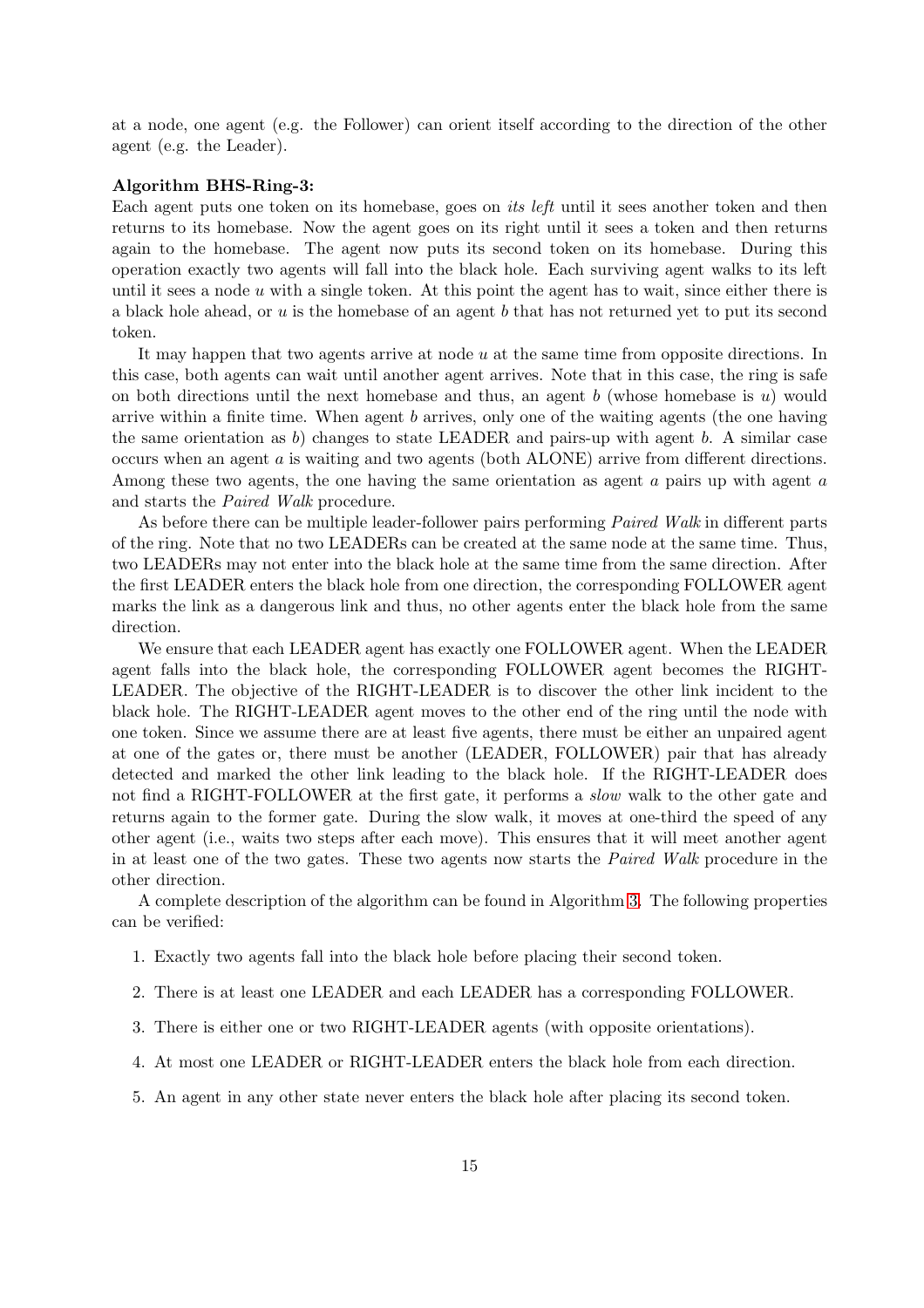at a node, one agent (e.g. the Follower) can orient itself according to the direction of the other agent (e.g. the Leader).

#### Algorithm BHS-Ring-3:

Each agent puts one token on its homebase, goes on its left until it sees another token and then returns to its homebase. Now the agent goes on its right until it sees a token and then returns again to the homebase. The agent now puts its second token on its homebase. During this operation exactly two agents will fall into the black hole. Each surviving agent walks to its left until it sees a node  $u$  with a single token. At this point the agent has to wait, since either there is a black hole ahead, or u is the homebase of an agent b that has not returned yet to put its second token.

It may happen that two agents arrive at node u at the same time from opposite directions. In this case, both agents can wait until another agent arrives. Note that in this case, the ring is safe on both directions until the next homebase and thus, an agent b (whose homebase is  $u$ ) would arrive within a finite time. When agent b arrives, only one of the waiting agents (the one having the same orientation as  $b$ ) changes to state LEADER and pairs-up with agent  $b$ . A similar case occurs when an agent a is waiting and two agents (both ALONE) arrive from different directions. Among these two agents, the one having the same orientation as agent a pairs up with agent a and starts the Paired Walk procedure.

As before there can be multiple leader-follower pairs performing *Paired Walk* in different parts of the ring. Note that no two LEADERs can be created at the same node at the same time. Thus, two LEADERs may not enter into the black hole at the same time from the same direction. After the first LEADER enters the black hole from one direction, the corresponding FOLLOWER agent marks the link as a dangerous link and thus, no other agents enter the black hole from the same direction.

We ensure that each LEADER agent has exactly one FOLLOWER agent. When the LEADER agent falls into the black hole, the corresponding FOLLOWER agent becomes the RIGHT-LEADER. The objective of the RIGHT-LEADER is to discover the other link incident to the black hole. The RIGHT-LEADER agent moves to the other end of the ring until the node with one token. Since we assume there are at least five agents, there must be either an unpaired agent at one of the gates or, there must be another (LEADER, FOLLOWER) pair that has already detected and marked the other link leading to the black hole. If the RIGHT-LEADER does not find a RIGHT-FOLLOWER at the first gate, it performs a *slow* walk to the other gate and returns again to the former gate. During the slow walk, it moves at one-third the speed of any other agent (i.e., waits two steps after each move). This ensures that it will meet another agent in at least one of the two gates. These two agents now starts the Paired Walk procedure in the other direction.

A complete description of the algorithm can be found in Algorithm [3.](#page-11-0) The following properties can be verified:

- 1. Exactly two agents fall into the black hole before placing their second token.
- 2. There is at least one LEADER and each LEADER has a corresponding FOLLOWER.
- 3. There is either one or two RIGHT-LEADER agents (with opposite orientations).
- 4. At most one LEADER or RIGHT-LEADER enters the black hole from each direction.
- 5. An agent in any other state never enters the black hole after placing its second token.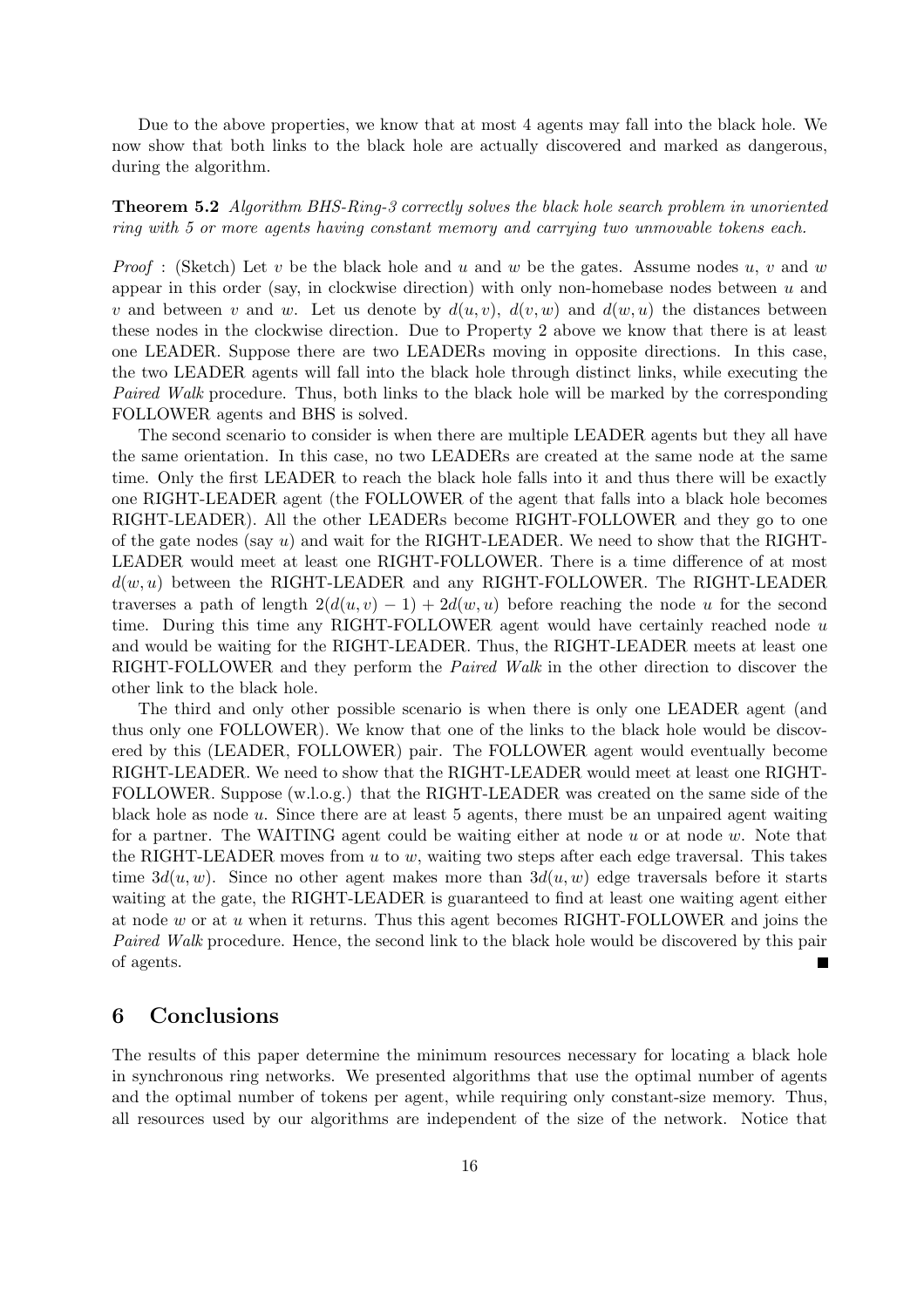<span id="page-15-0"></span>Due to the above properties, we know that at most 4 agents may fall into the black hole. We now show that both links to the black hole are actually discovered and marked as dangerous, during the algorithm.

**Theorem 5.2** Algorithm BHS-Ring-3 correctly solves the black hole search problem in unoriented ring with 5 or more agents having constant memory and carrying two unmovable tokens each.

*Proof* : (Sketch) Let v be the black hole and u and w be the gates. Assume nodes u, v and w appear in this order (say, in clockwise direction) with only non-homebase nodes between  $u$  and v and between v and w. Let us denote by  $d(u, v)$ ,  $d(v, w)$  and  $d(w, u)$  the distances between these nodes in the clockwise direction. Due to Property 2 above we know that there is at least one LEADER. Suppose there are two LEADERs moving in opposite directions. In this case, the two LEADER agents will fall into the black hole through distinct links, while executing the Paired Walk procedure. Thus, both links to the black hole will be marked by the corresponding FOLLOWER agents and BHS is solved.

The second scenario to consider is when there are multiple LEADER agents but they all have the same orientation. In this case, no two LEADERs are created at the same node at the same time. Only the first LEADER to reach the black hole falls into it and thus there will be exactly one RIGHT-LEADER agent (the FOLLOWER of the agent that falls into a black hole becomes RIGHT-LEADER). All the other LEADERs become RIGHT-FOLLOWER and they go to one of the gate nodes (say  $u$ ) and wait for the RIGHT-LEADER. We need to show that the RIGHT-LEADER would meet at least one RIGHT-FOLLOWER. There is a time difference of at most  $d(w, u)$  between the RIGHT-LEADER and any RIGHT-FOLLOWER. The RIGHT-LEADER traverses a path of length  $2(d(u, v) - 1) + 2d(w, u)$  before reaching the node u for the second time. During this time any RIGHT-FOLLOWER agent would have certainly reached node u and would be waiting for the RIGHT-LEADER. Thus, the RIGHT-LEADER meets at least one RIGHT-FOLLOWER and they perform the Paired Walk in the other direction to discover the other link to the black hole.

The third and only other possible scenario is when there is only one LEADER agent (and thus only one FOLLOWER). We know that one of the links to the black hole would be discovered by this (LEADER, FOLLOWER) pair. The FOLLOWER agent would eventually become RIGHT-LEADER. We need to show that the RIGHT-LEADER would meet at least one RIGHT-FOLLOWER. Suppose (w.l.o.g.) that the RIGHT-LEADER was created on the same side of the black hole as node  $u$ . Since there are at least 5 agents, there must be an unpaired agent waiting for a partner. The WAITING agent could be waiting either at node u or at node  $w$ . Note that the RIGHT-LEADER moves from  $u$  to  $w$ , waiting two steps after each edge traversal. This takes time  $3d(u, w)$ . Since no other agent makes more than  $3d(u, w)$  edge traversals before it starts waiting at the gate, the RIGHT-LEADER is guaranteed to find at least one waiting agent either at node w or at u when it returns. Thus this agent becomes RIGHT-FOLLOWER and joins the Paired Walk procedure. Hence, the second link to the black hole would be discovered by this pair of agents.

## 6 Conclusions

The results of this paper determine the minimum resources necessary for locating a black hole in synchronous ring networks. We presented algorithms that use the optimal number of agents and the optimal number of tokens per agent, while requiring only constant-size memory. Thus, all resources used by our algorithms are independent of the size of the network. Notice that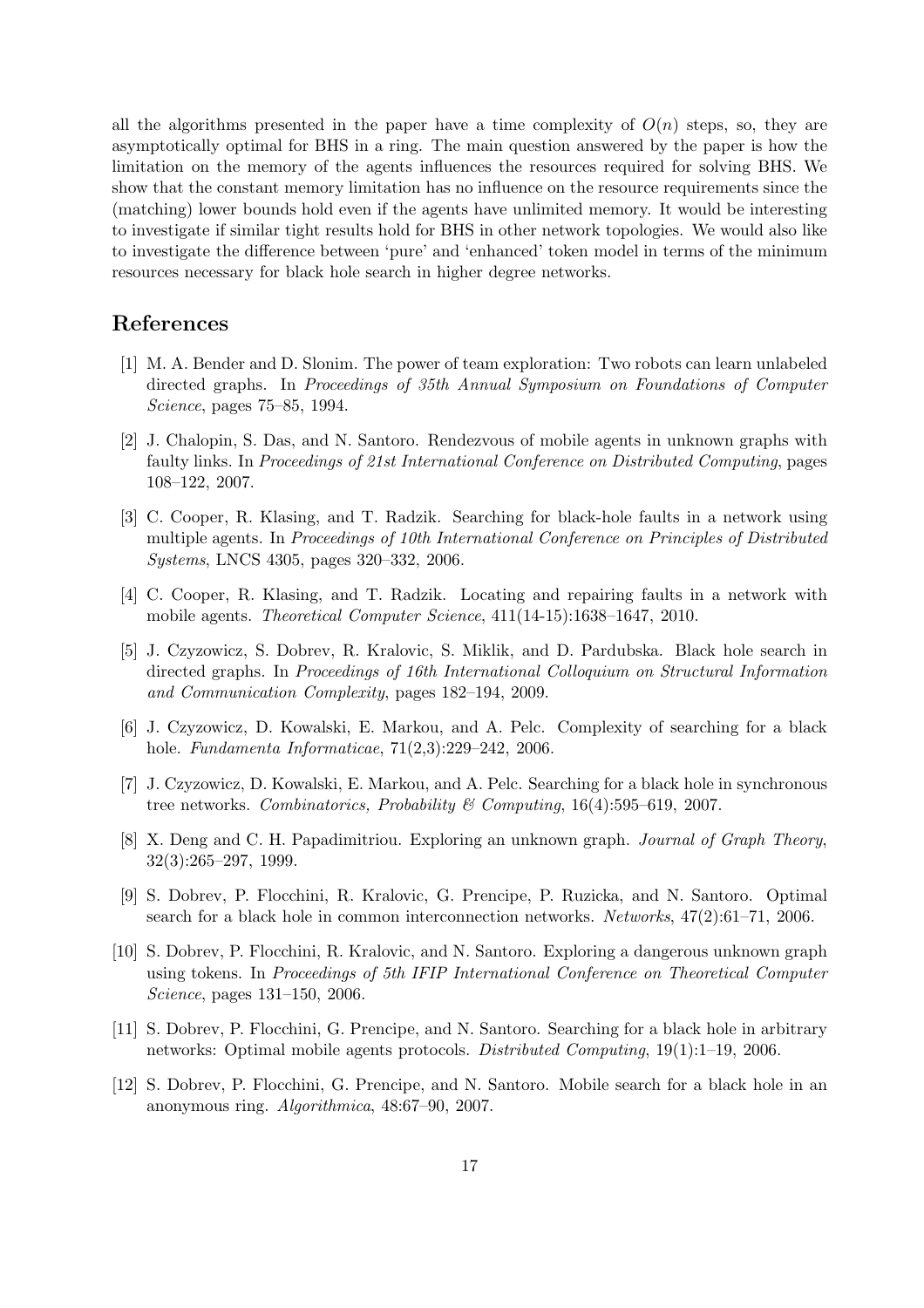all the algorithms presented in the paper have a time complexity of  $O(n)$  steps, so, they are asymptotically optimal for BHS in a ring. The main question answered by the paper is how the limitation on the memory of the agents influences the resources required for solving BHS. We show that the constant memory limitation has no influence on the resource requirements since the (matching) lower bounds hold even if the agents have unlimited memory. It would be interesting to investigate if similar tight results hold for BHS in other network topologies. We would also like to investigate the difference between 'pure' and 'enhanced' token model in terms of the minimum resources necessary for black hole search in higher degree networks.

## <span id="page-16-5"></span>References

- [1] M. A. Bender and D. Slonim. The power of team exploration: Two robots can learn unlabeled directed graphs. In Proceedings of 35th Annual Symposium on Foundations of Computer Science, pages 75–85, 1994.
- <span id="page-16-10"></span>[2] J. Chalopin, S. Das, and N. Santoro. Rendezvous of mobile agents in unknown graphs with faulty links. In Proceedings of 21st International Conference on Distributed Computing, pages 108–122, 2007.
- <span id="page-16-1"></span>[3] C. Cooper, R. Klasing, and T. Radzik. Searching for black-hole faults in a network using multiple agents. In Proceedings of 10th International Conference on Principles of Distributed Systems, LNCS 4305, pages 320–332, 2006.
- <span id="page-16-2"></span>[4] C. Cooper, R. Klasing, and T. Radzik. Locating and repairing faults in a network with mobile agents. Theoretical Computer Science, 411(14-15):1638–1647, 2010.
- <span id="page-16-11"></span>[5] J. Czyzowicz, S. Dobrev, R. Kralovic, S. Miklik, and D. Pardubska. Black hole search in directed graphs. In Proceedings of 16th International Colloquium on Structural Information and Communication Complexity, pages 182–194, 2009.
- <span id="page-16-3"></span>[6] J. Czyzowicz, D. Kowalski, E. Markou, and A. Pelc. Complexity of searching for a black hole. Fundamenta Informaticae, 71(2,3):229–242, 2006.
- <span id="page-16-6"></span><span id="page-16-4"></span>[7] J. Czyzowicz, D. Kowalski, E. Markou, and A. Pelc. Searching for a black hole in synchronous tree networks. Combinatorics, Probability & Computing,  $16(4)$ :595–619, 2007.
- <span id="page-16-7"></span>[8] X. Deng and C. H. Papadimitriou. Exploring an unknown graph. Journal of Graph Theory, 32(3):265–297, 1999.
- [9] S. Dobrev, P. Flocchini, R. Kralovic, G. Prencipe, P. Ruzicka, and N. Santoro. Optimal search for a black hole in common interconnection networks. Networks, 47(2):61–71, 2006.
- <span id="page-16-9"></span>[10] S. Dobrev, P. Flocchini, R. Kralovic, and N. Santoro. Exploring a dangerous unknown graph using tokens. In Proceedings of 5th IFIP International Conference on Theoretical Computer Science, pages 131–150, 2006.
- <span id="page-16-8"></span>[11] S. Dobrev, P. Flocchini, G. Prencipe, and N. Santoro. Searching for a black hole in arbitrary networks: Optimal mobile agents protocols. Distributed Computing, 19(1):1–19, 2006.
- <span id="page-16-0"></span>[12] S. Dobrev, P. Flocchini, G. Prencipe, and N. Santoro. Mobile search for a black hole in an anonymous ring. Algorithmica, 48:67–90, 2007.